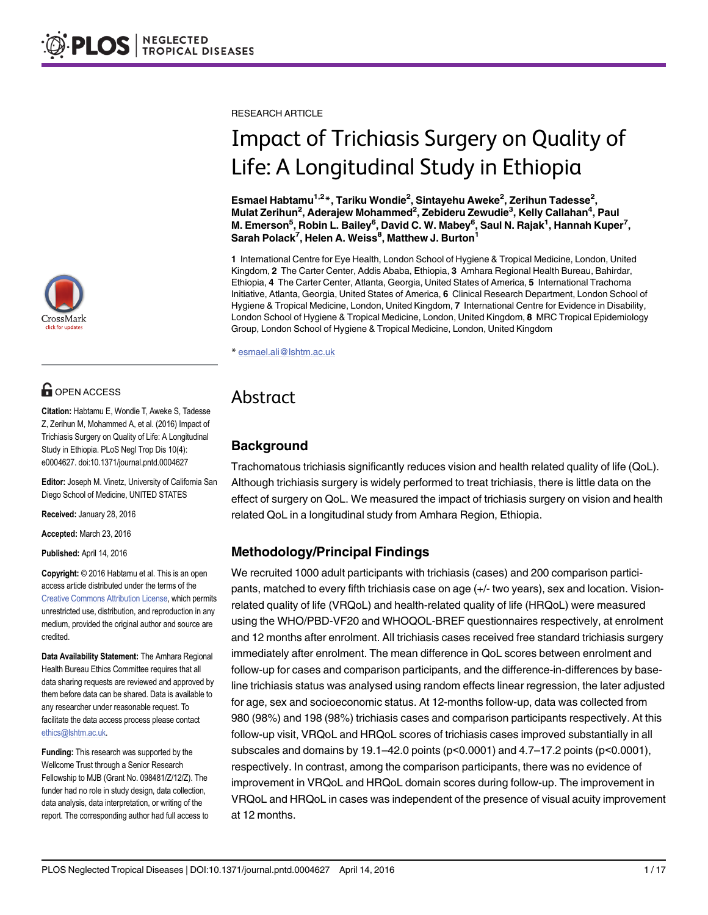# **G** OPEN ACCESS

Citation: Habtamu E, Wondie T, Aweke S, Tadesse Z, Zerihun M, Mohammed A, et al. (2016) Impact of Trichiasis Surgery on Quality of Life: A Longitudinal Study in Ethiopia. PLoS Negl Trop Dis 10(4): e0004627. doi:10.1371/journal.pntd.0004627

Editor: Joseph M. Vinetz, University of California San Diego School of Medicine, UNITED STATES

Received: January 28, 2016

Accepted: March 23, 2016

Published: April 14, 2016

Copyright: © 2016 Habtamu et al. This is an open access article distributed under the terms of the [Creative Commons Attribution License,](http://creativecommons.org/licenses/by/4.0/) which permits unrestricted use, distribution, and reproduction in any medium, provided the original author and source are credited.

Data Availability Statement: The Amhara Regional Health Bureau Ethics Committee requires that all data sharing requests are reviewed and approved by them before data can be shared. Data is available to any researcher under reasonable request. To facilitate the data access process please contact ethics@lshtm.ac.uk.

Funding: This research was supported by the Wellcome Trust through a Senior Research Fellowship to MJB (Grant No. 098481/Z/12/Z). The funder had no role in study design, data collection, data analysis, data interpretation, or writing of the report. The corresponding author had full access to RESEARCH ARTICLE

# Impact of Trichiasis Surgery on Quality of Life: A Longitudinal Study in Ethiopia

Esmael Habtamu<sup>1,2</sup>\*, Tariku Wondie<sup>2</sup>, Sintayehu Aweke<sup>2</sup>, Zerihun Tadesse<sup>2</sup>, Mulat Zerihun<sup>2</sup>, Aderajew Mohammed<sup>2</sup>, Zebideru Zewudie<sup>3</sup>, Kelly Callahan<sup>4</sup>, Paul M. Emerson<sup>5</sup>, Robin L. Bailey<sup>6</sup>, David C. W. Mabey<sup>6</sup>, Saul N. Rajak<sup>1</sup>, Hannah Kuper<sup>7</sup>, Sarah Polack<sup>7</sup>, Helen A. Weiss<sup>8</sup>, Matthew J. Burton<sup>1</sup>

1 International Centre for Eye Health, London School of Hygiene & Tropical Medicine, London, United Kingdom, 2 The Carter Center, Addis Ababa, Ethiopia, 3 Amhara Regional Health Bureau, Bahirdar, Ethiopia, 4 The Carter Center, Atlanta, Georgia, United States of America, 5 International Trachoma Initiative, Atlanta, Georgia, United States of America, 6 Clinical Research Department, London School of Hygiene & Tropical Medicine, London, United Kingdom, 7 International Centre for Evidence in Disability, London School of Hygiene & Tropical Medicine, London, United Kingdom, 8 MRC Tropical Epidemiology Group, London School of Hygiene & Tropical Medicine, London, United Kingdom

\* esmael.ali@lshtm.ac.uk

# Abstract

# **Background**

Trachomatous trichiasis significantly reduces vision and health related quality of life (QoL). Although trichiasis surgery is widely performed to treat trichiasis, there is little data on the effect of surgery on QoL. We measured the impact of trichiasis surgery on vision and health related QoL in a longitudinal study from Amhara Region, Ethiopia.

# Methodology/Principal Findings

We recruited 1000 adult participants with trichiasis (cases) and 200 comparison participants, matched to every fifth trichiasis case on age (+/- two years), sex and location. Visionrelated quality of life (VRQoL) and health-related quality of life (HRQoL) were measured using the WHO/PBD-VF20 and WHOQOL-BREF questionnaires respectively, at enrolment and 12 months after enrolment. All trichiasis cases received free standard trichiasis surgery immediately after enrolment. The mean difference in QoL scores between enrolment and follow-up for cases and comparison participants, and the difference-in-differences by baseline trichiasis status was analysed using random effects linear regression, the later adjusted for age, sex and socioeconomic status. At 12-months follow-up, data was collected from 980 (98%) and 198 (98%) trichiasis cases and comparison participants respectively. At this follow-up visit, VRQoL and HRQoL scores of trichiasis cases improved substantially in all subscales and domains by 19.1–42.0 points (p<0.0001) and 4.7–17.2 points (p<0.0001), respectively. In contrast, among the comparison participants, there was no evidence of improvement in VRQoL and HRQoL domain scores during follow-up. The improvement in VRQoL and HRQoL in cases was independent of the presence of visual acuity improvement at 12 months.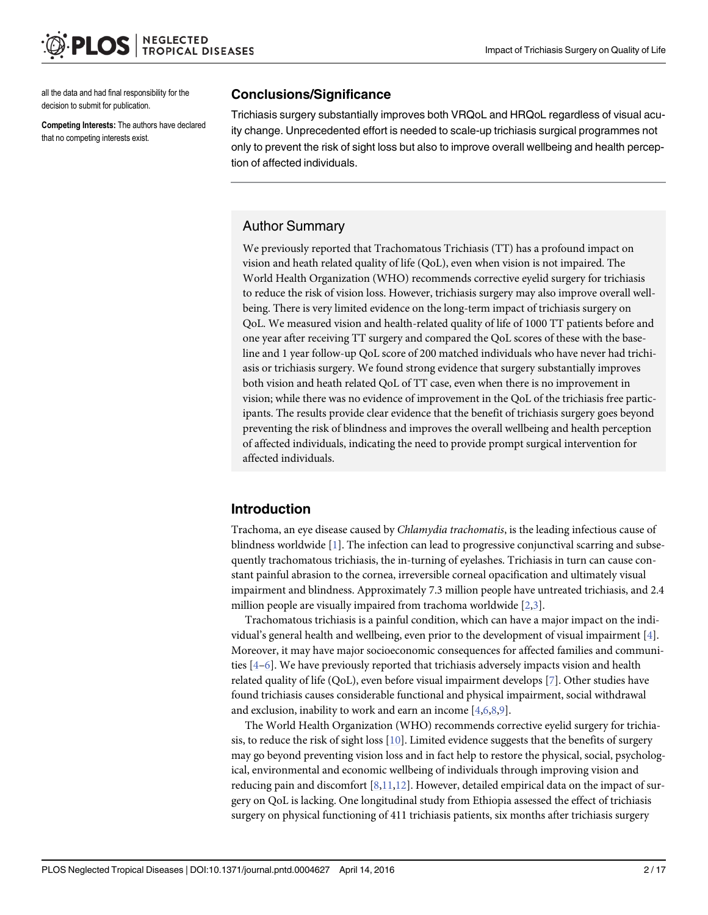<span id="page-1-0"></span>all the data and had final responsibility for the decision to submit for publication.

Competing Interests: The authors have declared that no competing interests exist.

### Conclusions/Significance

Trichiasis surgery substantially improves both VRQoL and HRQoL regardless of visual acuity change. Unprecedented effort is needed to scale-up trichiasis surgical programmes not only to prevent the risk of sight loss but also to improve overall wellbeing and health perception of affected individuals.

# Author Summary

We previously reported that Trachomatous Trichiasis (TT) has a profound impact on vision and heath related quality of life (QoL), even when vision is not impaired. The World Health Organization (WHO) recommends corrective eyelid surgery for trichiasis to reduce the risk of vision loss. However, trichiasis surgery may also improve overall wellbeing. There is very limited evidence on the long-term impact of trichiasis surgery on QoL. We measured vision and health-related quality of life of 1000 TT patients before and one year after receiving TT surgery and compared the QoL scores of these with the baseline and 1 year follow-up QoL score of 200 matched individuals who have never had trichiasis or trichiasis surgery. We found strong evidence that surgery substantially improves both vision and heath related QoL of TT case, even when there is no improvement in vision; while there was no evidence of improvement in the QoL of the trichiasis free participants. The results provide clear evidence that the benefit of trichiasis surgery goes beyond preventing the risk of blindness and improves the overall wellbeing and health perception of affected individuals, indicating the need to provide prompt surgical intervention for affected individuals.

# Introduction

Trachoma, an eye disease caused by Chlamydia trachomatis, is the leading infectious cause of blindness worldwide  $[1]$  $[1]$ . The infection can lead to progressive conjunctival scarring and subsequently trachomatous trichiasis, the in-turning of eyelashes. Trichiasis in turn can cause constant painful abrasion to the cornea, irreversible corneal opacification and ultimately visual impairment and blindness. Approximately 7.3 million people have untreated trichiasis, and 2.4 million people are visually impaired from trachoma worldwide [[2,3\]](#page-15-0).

Trachomatous trichiasis is a painful condition, which can have a major impact on the individual's general health and wellbeing, even prior to the development of visual impairment  $[4]$  $[4]$ . Moreover, it may have major socioeconomic consequences for affected families and communities [\[4](#page-15-0)–[6\]](#page-15-0). We have previously reported that trichiasis adversely impacts vision and health related quality of life (QoL), even before visual impairment develops [[7\]](#page-15-0). Other studies have found trichiasis causes considerable functional and physical impairment, social withdrawal and exclusion, inability to work and earn an income [[4,6,8,9\]](#page-15-0).

The World Health Organization (WHO) recommends corrective eyelid surgery for trichiasis, to reduce the risk of sight loss  $[10]$  $[10]$ . Limited evidence suggests that the benefits of surgery may go beyond preventing vision loss and in fact help to restore the physical, social, psychological, environmental and economic wellbeing of individuals through improving vision and reducing pain and discomfort  $[8,11,12]$  $[8,11,12]$ . However, detailed empirical data on the impact of surgery on QoL is lacking. One longitudinal study from Ethiopia assessed the effect of trichiasis surgery on physical functioning of 411 trichiasis patients, six months after trichiasis surgery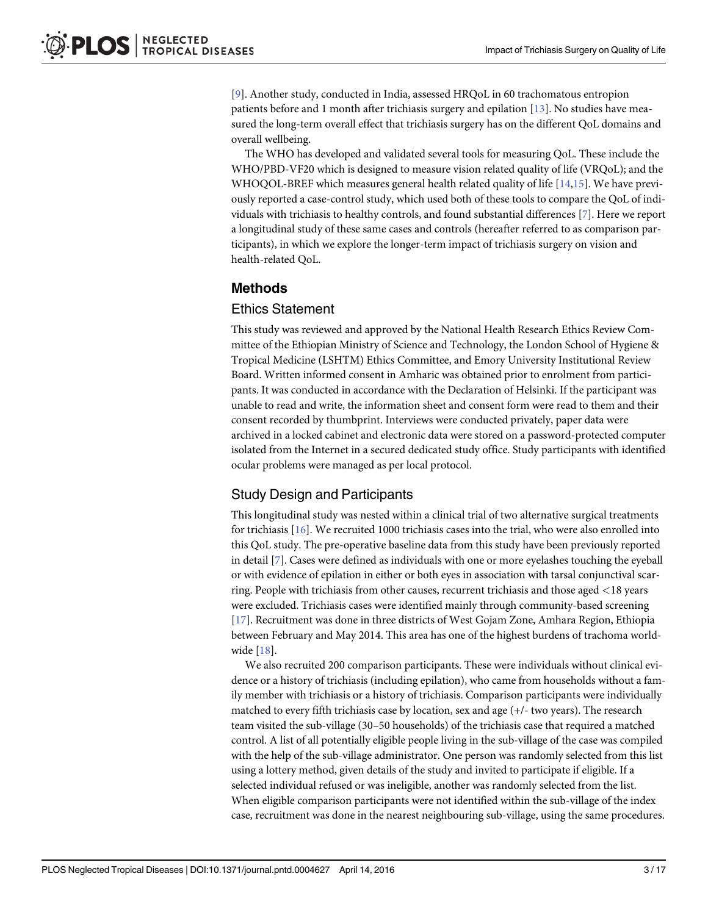<span id="page-2-0"></span>[\[9](#page-15-0)]. Another study, conducted in India, assessed HRQoL in 60 trachomatous entropion patients before and 1 month after trichiasis surgery and epilation [[13](#page-16-0)]. No studies have measured the long-term overall effect that trichiasis surgery has on the different QoL domains and overall wellbeing.

The WHO has developed and validated several tools for measuring QoL. These include the WHO/PBD-VF20 which is designed to measure vision related quality of life (VRQoL); and the WHOQOL-BREF which measures general health related quality of life [[14,15](#page-16-0)]. We have previously reported a case-control study, which used both of these tools to compare the QoL of individuals with trichiasis to healthy controls, and found substantial differences [[7](#page-15-0)]. Here we report a longitudinal study of these same cases and controls (hereafter referred to as comparison participants), in which we explore the longer-term impact of trichiasis surgery on vision and health-related QoL.

### Methods

#### Ethics Statement

This study was reviewed and approved by the National Health Research Ethics Review Committee of the Ethiopian Ministry of Science and Technology, the London School of Hygiene & Tropical Medicine (LSHTM) Ethics Committee, and Emory University Institutional Review Board. Written informed consent in Amharic was obtained prior to enrolment from participants. It was conducted in accordance with the Declaration of Helsinki. If the participant was unable to read and write, the information sheet and consent form were read to them and their consent recorded by thumbprint. Interviews were conducted privately, paper data were archived in a locked cabinet and electronic data were stored on a password-protected computer isolated from the Internet in a secured dedicated study office. Study participants with identified ocular problems were managed as per local protocol.

# Study Design and Participants

This longitudinal study was nested within a clinical trial of two alternative surgical treatments for trichiasis [\[16\]](#page-16-0). We recruited 1000 trichiasis cases into the trial, who were also enrolled into this QoL study. The pre-operative baseline data from this study have been previously reported in detail [[7\]](#page-15-0). Cases were defined as individuals with one or more eyelashes touching the eyeball or with evidence of epilation in either or both eyes in association with tarsal conjunctival scarring. People with trichiasis from other causes, recurrent trichiasis and those aged <18 years were excluded. Trichiasis cases were identified mainly through community-based screening [\[17](#page-16-0)]. Recruitment was done in three districts of West Gojam Zone, Amhara Region, Ethiopia between February and May 2014. This area has one of the highest burdens of trachoma worldwide [\[18](#page-16-0)].

We also recruited 200 comparison participants. These were individuals without clinical evidence or a history of trichiasis (including epilation), who came from households without a family member with trichiasis or a history of trichiasis. Comparison participants were individually matched to every fifth trichiasis case by location, sex and age (+/- two years). The research team visited the sub-village (30–50 households) of the trichiasis case that required a matched control. A list of all potentially eligible people living in the sub-village of the case was compiled with the help of the sub-village administrator. One person was randomly selected from this list using a lottery method, given details of the study and invited to participate if eligible. If a selected individual refused or was ineligible, another was randomly selected from the list. When eligible comparison participants were not identified within the sub-village of the index case, recruitment was done in the nearest neighbouring sub-village, using the same procedures.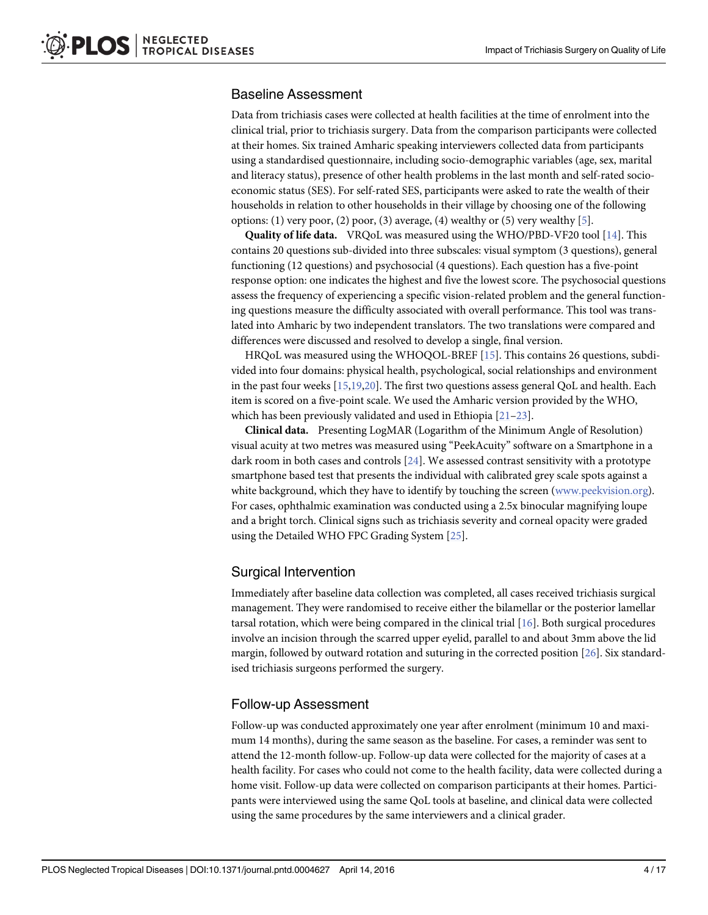# <span id="page-3-0"></span>Baseline Assessment

Data from trichiasis cases were collected at health facilities at the time of enrolment into the clinical trial, prior to trichiasis surgery. Data from the comparison participants were collected at their homes. Six trained Amharic speaking interviewers collected data from participants using a standardised questionnaire, including socio-demographic variables (age, sex, marital and literacy status), presence of other health problems in the last month and self-rated socioeconomic status (SES). For self-rated SES, participants were asked to rate the wealth of their households in relation to other households in their village by choosing one of the following options: (1) very poor, (2) poor, (3) average, (4) wealthy or (5) very wealthy  $[5]$ .

Quality of life data. VRQoL was measured using the WHO/PBD-VF20 tool [\[14](#page-16-0)]. This contains 20 questions sub-divided into three subscales: visual symptom (3 questions), general functioning (12 questions) and psychosocial (4 questions). Each question has a five-point response option: one indicates the highest and five the lowest score. The psychosocial questions assess the frequency of experiencing a specific vision-related problem and the general functioning questions measure the difficulty associated with overall performance. This tool was translated into Amharic by two independent translators. The two translations were compared and differences were discussed and resolved to develop a single, final version.

HRQoL was measured using the WHOQOL-BREF [[15](#page-16-0)]. This contains 26 questions, subdivided into four domains: physical health, psychological, social relationships and environment in the past four weeks [[15,19,20\]](#page-16-0). The first two questions assess general QoL and health. Each item is scored on a five-point scale. We used the Amharic version provided by the WHO, which has been previously validated and used in Ethiopia [[21](#page-16-0)–[23](#page-16-0)].

Clinical data. Presenting LogMAR (Logarithm of the Minimum Angle of Resolution) visual acuity at two metres was measured using "PeekAcuity" software on a Smartphone in a dark room in both cases and controls [[24](#page-16-0)]. We assessed contrast sensitivity with a prototype smartphone based test that presents the individual with calibrated grey scale spots against a white background, which they have to identify by touching the screen [\(www.peekvision.org\)](http://www.peekvision.org/). For cases, ophthalmic examination was conducted using a 2.5x binocular magnifying loupe and a bright torch. Clinical signs such as trichiasis severity and corneal opacity were graded using the Detailed WHO FPC Grading System [[25](#page-16-0)].

# Surgical Intervention

Immediately after baseline data collection was completed, all cases received trichiasis surgical management. They were randomised to receive either the bilamellar or the posterior lamellar tarsal rotation, which were being compared in the clinical trial  $[16]$ . Both surgical procedures involve an incision through the scarred upper eyelid, parallel to and about 3mm above the lid margin, followed by outward rotation and suturing in the corrected position [[26\]](#page-16-0). Six standardised trichiasis surgeons performed the surgery.

# Follow-up Assessment

Follow-up was conducted approximately one year after enrolment (minimum 10 and maximum 14 months), during the same season as the baseline. For cases, a reminder was sent to attend the 12-month follow-up. Follow-up data were collected for the majority of cases at a health facility. For cases who could not come to the health facility, data were collected during a home visit. Follow-up data were collected on comparison participants at their homes. Participants were interviewed using the same QoL tools at baseline, and clinical data were collected using the same procedures by the same interviewers and a clinical grader.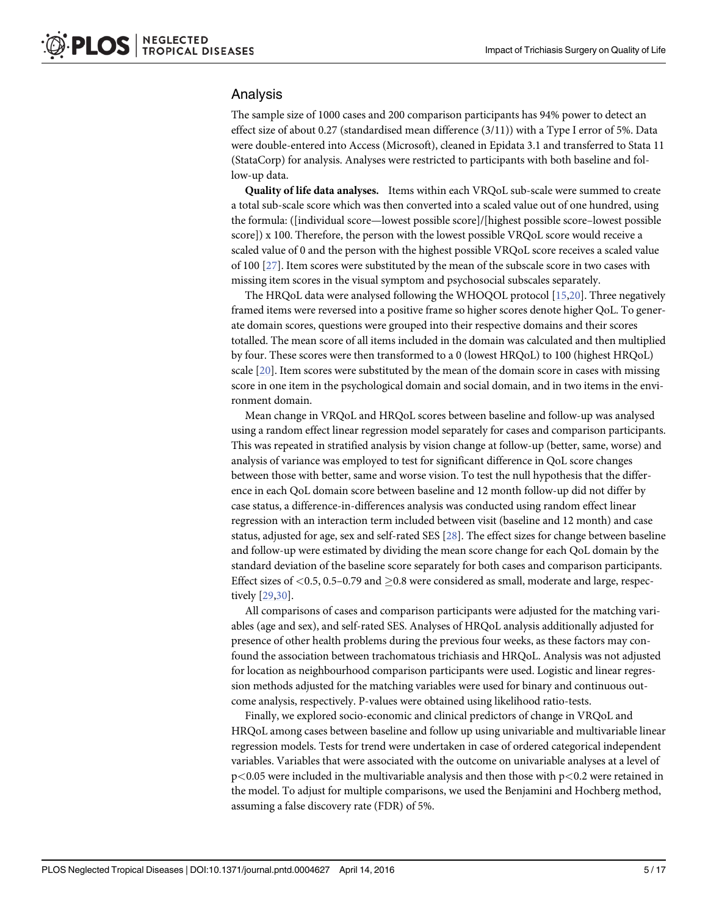#### <span id="page-4-0"></span>Analysis

The sample size of 1000 cases and 200 comparison participants has 94% power to detect an effect size of about 0.27 (standardised mean difference (3/11)) with a Type I error of 5%. Data were double-entered into Access (Microsoft), cleaned in Epidata 3.1 and transferred to Stata 11 (StataCorp) for analysis. Analyses were restricted to participants with both baseline and follow-up data.

Quality of life data analyses. Items within each VRQoL sub-scale were summed to create a total sub-scale score which was then converted into a scaled value out of one hundred, using the formula: ([individual score—lowest possible score]/[highest possible score–lowest possible score]) x 100. Therefore, the person with the lowest possible VRQoL score would receive a scaled value of 0 and the person with the highest possible VRQoL score receives a scaled value of 100 [\[27\]](#page-16-0). Item scores were substituted by the mean of the subscale score in two cases with missing item scores in the visual symptom and psychosocial subscales separately.

The HRQoL data were analysed following the WHOQOL protocol [[15,20](#page-16-0)]. Three negatively framed items were reversed into a positive frame so higher scores denote higher QoL. To generate domain scores, questions were grouped into their respective domains and their scores totalled. The mean score of all items included in the domain was calculated and then multiplied by four. These scores were then transformed to a 0 (lowest HRQoL) to 100 (highest HRQoL) scale [[20](#page-16-0)]. Item scores were substituted by the mean of the domain score in cases with missing score in one item in the psychological domain and social domain, and in two items in the environment domain.

Mean change in VRQoL and HRQoL scores between baseline and follow-up was analysed using a random effect linear regression model separately for cases and comparison participants. This was repeated in stratified analysis by vision change at follow-up (better, same, worse) and analysis of variance was employed to test for significant difference in QoL score changes between those with better, same and worse vision. To test the null hypothesis that the difference in each QoL domain score between baseline and 12 month follow-up did not differ by case status, a difference-in-differences analysis was conducted using random effect linear regression with an interaction term included between visit (baseline and 12 month) and case status, adjusted for age, sex and self-rated SES [[28\]](#page-16-0). The effect sizes for change between baseline and follow-up were estimated by dividing the mean score change for each QoL domain by the standard deviation of the baseline score separately for both cases and comparison participants. Effect sizes of  $\langle 0.5, 0.5-0.79 \text{ and } 0.8 \text{ were considered as small, moderate and large, respectively.}$ tively [\[29,30](#page-16-0)].

All comparisons of cases and comparison participants were adjusted for the matching variables (age and sex), and self-rated SES. Analyses of HRQoL analysis additionally adjusted for presence of other health problems during the previous four weeks, as these factors may confound the association between trachomatous trichiasis and HRQoL. Analysis was not adjusted for location as neighbourhood comparison participants were used. Logistic and linear regression methods adjusted for the matching variables were used for binary and continuous outcome analysis, respectively. P-values were obtained using likelihood ratio-tests.

Finally, we explored socio-economic and clinical predictors of change in VRQoL and HRQoL among cases between baseline and follow up using univariable and multivariable linear regression models. Tests for trend were undertaken in case of ordered categorical independent variables. Variables that were associated with the outcome on univariable analyses at a level of  $p<0.05$  were included in the multivariable analysis and then those with  $p<0.2$  were retained in the model. To adjust for multiple comparisons, we used the Benjamini and Hochberg method, assuming a false discovery rate (FDR) of 5%.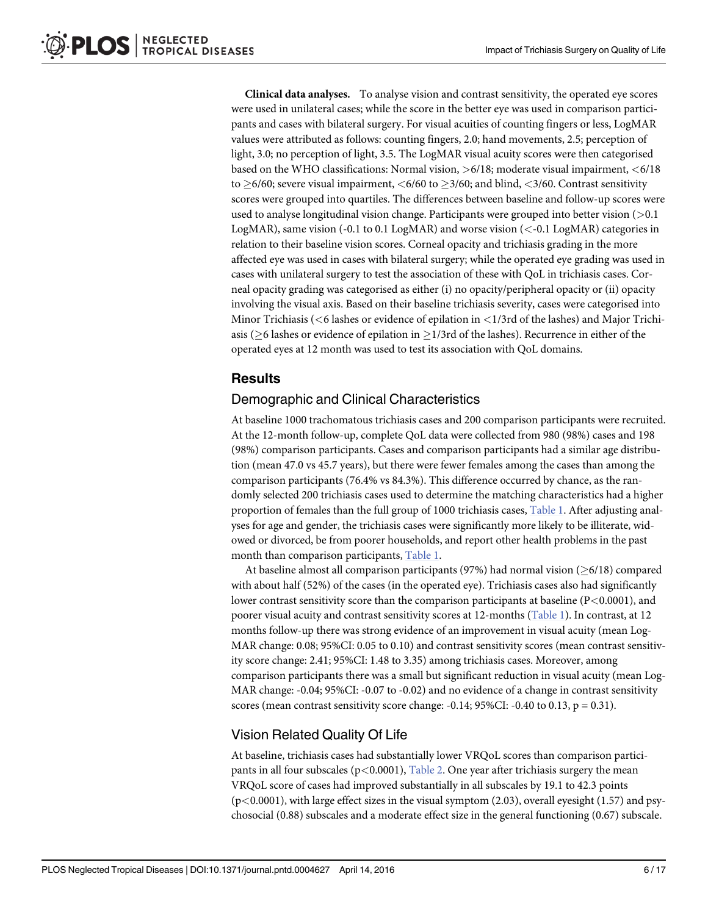<span id="page-5-0"></span>Clinical data analyses. To analyse vision and contrast sensitivity, the operated eye scores were used in unilateral cases; while the score in the better eye was used in comparison participants and cases with bilateral surgery. For visual acuities of counting fingers or less, LogMAR values were attributed as follows: counting fingers, 2.0; hand movements, 2.5; perception of light, 3.0; no perception of light, 3.5. The LogMAR visual acuity scores were then categorised based on the WHO classifications: Normal vision,  $>6/18$ ; moderate visual impairment,  $<6/18$ to  $\geq$  6/60; severe visual impairment, <6/60 to  $\geq$  3/60; and blind, <3/60. Contrast sensitivity scores were grouped into quartiles. The differences between baseline and follow-up scores were used to analyse longitudinal vision change. Participants were grouped into better vision (>0.1 LogMAR), same vision (-0.1 to 0.1 LogMAR) and worse vision (<-0.1 LogMAR) categories in relation to their baseline vision scores. Corneal opacity and trichiasis grading in the more affected eye was used in cases with bilateral surgery; while the operated eye grading was used in cases with unilateral surgery to test the association of these with QoL in trichiasis cases. Corneal opacity grading was categorised as either (i) no opacity/peripheral opacity or (ii) opacity involving the visual axis. Based on their baseline trichiasis severity, cases were categorised into Minor Trichiasis ( $\lt$ 6 lashes or evidence of epilation in  $\lt$ 1/3rd of the lashes) and Major Trichiasis ( $\geq$ 6 lashes or evidence of epilation in  $\geq$ 1/3rd of the lashes). Recurrence in either of the operated eyes at 12 month was used to test its association with QoL domains.

# **Results**

# Demographic and Clinical Characteristics

At baseline 1000 trachomatous trichiasis cases and 200 comparison participants were recruited. At the 12-month follow-up, complete QoL data were collected from 980 (98%) cases and 198 (98%) comparison participants. Cases and comparison participants had a similar age distribution (mean 47.0 vs 45.7 years), but there were fewer females among the cases than among the comparison participants (76.4% vs 84.3%). This difference occurred by chance, as the randomly selected 200 trichiasis cases used to determine the matching characteristics had a higher proportion of females than the full group of 1000 trichiasis cases, [Table 1.](#page-6-0) After adjusting analyses for age and gender, the trichiasis cases were significantly more likely to be illiterate, widowed or divorced, be from poorer households, and report other health problems in the past month than comparison participants, [Table 1.](#page-6-0)

At baseline almost all comparison participants (97%) had normal vision ( $\geq 6/18$ ) compared with about half (52%) of the cases (in the operated eye). Trichiasis cases also had significantly lower contrast sensitivity score than the comparison participants at baseline  $(P<0.0001)$ , and poorer visual acuity and contrast sensitivity scores at 12-months [\(Table 1\)](#page-6-0). In contrast, at 12 months follow-up there was strong evidence of an improvement in visual acuity (mean Log-MAR change: 0.08; 95%CI: 0.05 to 0.10) and contrast sensitivity scores (mean contrast sensitivity score change: 2.41; 95%CI: 1.48 to 3.35) among trichiasis cases. Moreover, among comparison participants there was a small but significant reduction in visual acuity (mean Log-MAR change: -0.04; 95%CI: -0.07 to -0.02) and no evidence of a change in contrast sensitivity scores (mean contrast sensitivity score change:  $-0.14$ ; 95%CI:  $-0.40$  to 0.13, p = 0.31).

# Vision Related Quality Of Life

At baseline, trichiasis cases had substantially lower VRQoL scores than comparison participants in all four subscales ( $p<0.0001$ ), [Table 2.](#page-8-0) One year after trichiasis surgery the mean VRQoL score of cases had improved substantially in all subscales by 19.1 to 42.3 points (p<0.0001), with large effect sizes in the visual symptom (2.03), overall eyesight (1.57) and psychosocial (0.88) subscales and a moderate effect size in the general functioning (0.67) subscale.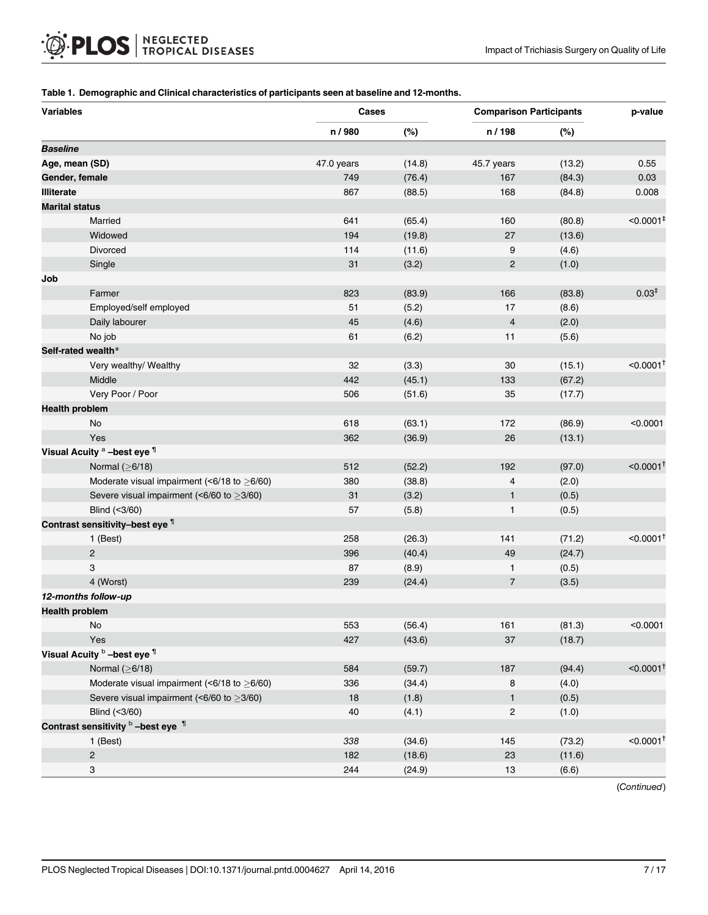#### <span id="page-6-0"></span>[Table 1.](#page-5-0) Demographic and Clinical characteristics of participants seen at baseline and 12-months.

| <b>Variables</b>      |                                                   | Cases      |        | <b>Comparison Participants</b> | p-value |                         |
|-----------------------|---------------------------------------------------|------------|--------|--------------------------------|---------|-------------------------|
|                       |                                                   | n / 980    | (%)    | n / 198                        | (%)     |                         |
| <b>Baseline</b>       |                                                   |            |        |                                |         |                         |
| Age, mean (SD)        |                                                   | 47.0 years | (14.8) | 45.7 years                     | (13.2)  | 0.55                    |
| Gender, female        |                                                   | 749        | (76.4) | 167                            | (84.3)  | 0.03                    |
| <b>Illiterate</b>     |                                                   | 867        | (88.5) | 168                            | (84.8)  | 0.008                   |
| <b>Marital status</b> |                                                   |            |        |                                |         |                         |
|                       | Married                                           | 641        | (65.4) | 160                            | (80.8)  | $< 0.0001$ <sup>#</sup> |
|                       | Widowed                                           | 194        | (19.8) | 27                             | (13.6)  |                         |
|                       | Divorced                                          | 114        | (11.6) | 9                              | (4.6)   |                         |
|                       | Single                                            | 31         | (3.2)  | $\overline{c}$                 | (1.0)   |                         |
| Job                   |                                                   |            |        |                                |         |                         |
|                       | Farmer                                            | 823        | (83.9) | 166                            | (83.8)  | 0.03 <sup>‡</sup>       |
|                       | Employed/self employed                            | 51         | (5.2)  | 17                             | (8.6)   |                         |
|                       | Daily labourer                                    | 45         | (4.6)  | $\overline{4}$                 | (2.0)   |                         |
|                       | No job                                            | 61         | (6.2)  | 11                             | (5.6)   |                         |
|                       | Self-rated wealth*                                |            |        |                                |         |                         |
|                       | Very wealthy/ Wealthy                             | 32         | (3.3)  | 30                             | (15.1)  | $< 0.0001$ <sup>+</sup> |
|                       | Middle                                            | 442        | (45.1) | 133                            | (67.2)  |                         |
|                       | Very Poor / Poor                                  | 506        | (51.6) | 35                             | (17.7)  |                         |
| <b>Health problem</b> |                                                   |            |        |                                |         |                         |
|                       | No                                                | 618        | (63.1) | 172                            | (86.9)  | < 0.0001                |
|                       | Yes                                               | 362        | (36.9) | 26                             | (13.1)  |                         |
|                       | Visual Acuity <sup>a</sup> -best eye 1            |            |        |                                |         |                         |
|                       | Normal $(≥6/18)$                                  | 512        | (52.2) | 192                            | (97.0)  | $< 0.0001$ <sup>1</sup> |
|                       | Moderate visual impairment (<6/18 to $\geq$ 6/60) | 380        | (38.8) | $\overline{4}$                 | (2.0)   |                         |
|                       | Severe visual impairment (<6/60 to $\geq$ 3/60)   | 31         | (3.2)  | 1                              | (0.5)   |                         |
|                       | Blind (<3/60)                                     | 57         | (5.8)  | 1                              | (0.5)   |                         |
|                       | Contrast sensitivity-best eye 1                   |            |        |                                |         |                         |
|                       | 1 (Best)                                          | 258        | (26.3) | 141                            | (71.2)  | $< 0.0001$ <sup>+</sup> |
|                       | $\overline{2}$                                    | 396        | (40.4) | 49                             | (24.7)  |                         |
|                       | 3                                                 | 87         | (8.9)  | $\mathbf{1}$                   | (0.5)   |                         |
|                       | 4 (Worst)                                         | 239        | (24.4) | $\overline{7}$                 | (3.5)   |                         |
|                       | 12-months follow-up                               |            |        |                                |         |                         |
| <b>Health problem</b> |                                                   |            |        |                                |         |                         |
|                       | $\operatorname{\mathsf{No}}$                      | 553        | (56.4) | 161                            | (81.3)  | < 0.0001                |
|                       | Yes                                               | 427        | (43.6) | 37                             | (18.7)  |                         |
|                       | Visual Acuity <b>b</b> -best eye 1                |            |        |                                |         |                         |
|                       | Normal $(≥6/18)$                                  | 584        | (59.7) | 187                            | (94.4)  | $< 0.0001$ <sup>+</sup> |
|                       | Moderate visual impairment (<6/18 to $\geq$ 6/60) | 336        | (34.4) | 8                              | (4.0)   |                         |
|                       | Severe visual impairment (<6/60 to $\geq$ 3/60)   | $18$       | (1.8)  | $\mathbf{1}$                   | (0.5)   |                         |
|                       | Blind (<3/60)                                     | 40         | (4.1)  | $\overline{\mathbf{c}}$        | (1.0)   |                         |
|                       | Contrast sensitivity b -best eye 1                |            |        |                                |         |                         |
|                       | 1 (Best)                                          | 338        | (34.6) | 145                            | (73.2)  | $< 0.0001$ <sup>+</sup> |
|                       | $\sqrt{2}$                                        | 182        | (18.6) | 23                             | (11.6)  |                         |
|                       | 3                                                 | 244        | (24.9) | $13$                           | (6.6)   |                         |

(Continued)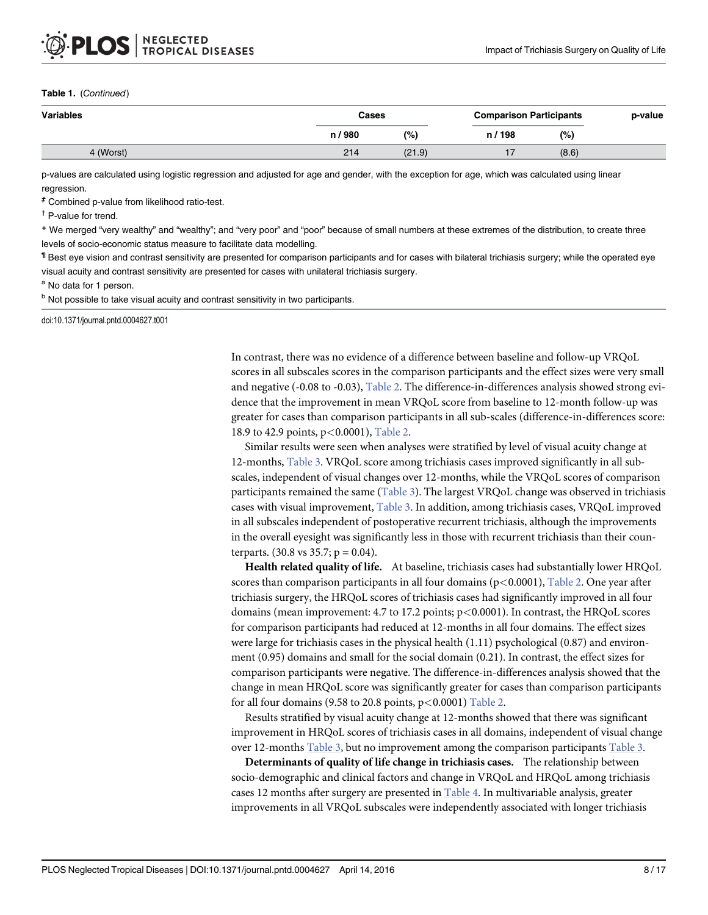#### <span id="page-7-0"></span>Table 1. (Continued)

| Variables | Cases   |        | <b>Comparison Participants</b> | p-value |  |
|-----------|---------|--------|--------------------------------|---------|--|
|           | n / 980 | (% )   | n / 198                        | (%)     |  |
| 4 (Worst) | 214     | (21.9) |                                | (8.6)   |  |

p-values are calculated using logistic regression and adjusted for age and gender, with the exception for age, which was calculated using linear regression.

‡ Combined p-value from likelihood ratio-test.

† P-value for trend.

\* We merged "very wealthy" and "wealthy"; and "very poor" and "poor" because of small numbers at these extremes of the distribution, to create three levels of socio-economic status measure to facilitate data modelling.

¶ Best eye vision and contrast sensitivity are presented for comparison participants and for cases with bilateral trichiasis surgery; while the operated eye visual acuity and contrast sensitivity are presented for cases with unilateral trichiasis surgery.

a No data for 1 person.

**b** Not possible to take visual acuity and contrast sensitivity in two participants.

doi:10.1371/journal.pntd.0004627.t001

In contrast, there was no evidence of a difference between baseline and follow-up VRQoL scores in all subscales scores in the comparison participants and the effect sizes were very small and negative (-0.08 to -0.03), [Table 2](#page-8-0). The difference-in-differences analysis showed strong evidence that the improvement in mean VRQoL score from baseline to 12-month follow-up was greater for cases than comparison participants in all sub-scales (difference-in-differences score: 18.9 to 42.9 points, p<0.0001), [Table 2](#page-8-0).

Similar results were seen when analyses were stratified by level of visual acuity change at 12-months, [Table 3](#page-9-0). VRQoL score among trichiasis cases improved significantly in all subscales, independent of visual changes over 12-months, while the VRQoL scores of comparison participants remained the same ([Table 3\)](#page-9-0). The largest VRQoL change was observed in trichiasis cases with visual improvement, [Table 3](#page-9-0). In addition, among trichiasis cases, VRQoL improved in all subscales independent of postoperative recurrent trichiasis, although the improvements in the overall eyesight was significantly less in those with recurrent trichiasis than their counterparts. (30.8 vs 35.7;  $p = 0.04$ ).

Health related quality of life. At baseline, trichiasis cases had substantially lower HRQoL scores than comparison participants in all four domains  $(p<0.0001)$ , [Table 2.](#page-8-0) One year after trichiasis surgery, the HRQoL scores of trichiasis cases had significantly improved in all four domains (mean improvement: 4.7 to 17.2 points; p<0.0001). In contrast, the HRQoL scores for comparison participants had reduced at 12-months in all four domains. The effect sizes were large for trichiasis cases in the physical health (1.11) psychological (0.87) and environment (0.95) domains and small for the social domain (0.21). In contrast, the effect sizes for comparison participants were negative. The difference-in-differences analysis showed that the change in mean HRQoL score was significantly greater for cases than comparison participants for all four domains (9.58 to 20.8 points,  $p < 0.0001$ ) [Table 2](#page-8-0).

Results stratified by visual acuity change at 12-months showed that there was significant improvement in HRQoL scores of trichiasis cases in all domains, independent of visual change over 12-months [Table 3,](#page-9-0) but no improvement among the comparison participants [Table 3](#page-9-0).

Determinants of quality of life change in trichiasis cases. The relationship between socio-demographic and clinical factors and change in VRQoL and HRQoL among trichiasis cases 12 months after surgery are presented in [Table 4.](#page-10-0) In multivariable analysis, greater improvements in all VRQoL subscales were independently associated with longer trichiasis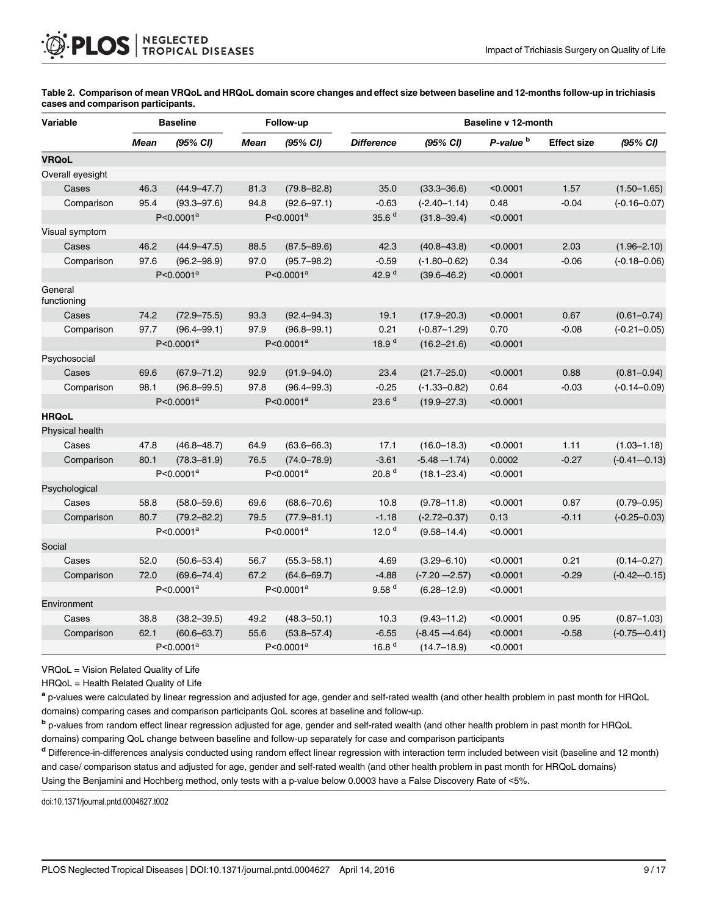| <b>Variable</b>        |             | <b>Baseline</b>       |             | Follow-up             |                   |                  | Baseline v 12-month  |                    |                  |  |  |
|------------------------|-------------|-----------------------|-------------|-----------------------|-------------------|------------------|----------------------|--------------------|------------------|--|--|
|                        | <b>Mean</b> | (95% CI)              | <b>Mean</b> | (95% CI)              | <b>Difference</b> | (95% CI)         | P-value <sup>b</sup> | <b>Effect size</b> | (95% CI)         |  |  |
| <b>VRQoL</b>           |             |                       |             |                       |                   |                  |                      |                    |                  |  |  |
| Overall eyesight       |             |                       |             |                       |                   |                  |                      |                    |                  |  |  |
| Cases                  | 46.3        | $(44.9 - 47.7)$       | 81.3        | $(79.8 - 82.8)$       | 35.0              | $(33.3 - 36.6)$  | < 0.0001             | 1.57               | $(1.50 - 1.65)$  |  |  |
| Comparison             | 95.4        | $(93.3 - 97.6)$       | 94.8        | $(92.6 - 97.1)$       | $-0.63$           | $(-2.40 - 1.14)$ | 0.48                 | $-0.04$            | $(-0.16 - 0.07)$ |  |  |
|                        |             | $P < 0.0001^a$        |             | $P < 0.0001^a$        | 35.6 <sup>d</sup> | $(31.8 - 39.4)$  | < 0.0001             |                    |                  |  |  |
| Visual symptom         |             |                       |             |                       |                   |                  |                      |                    |                  |  |  |
| Cases                  | 46.2        | $(44.9 - 47.5)$       | 88.5        | $(87.5 - 89.6)$       | 42.3              | $(40.8 - 43.8)$  | < 0.0001             | 2.03               | $(1.96 - 2.10)$  |  |  |
| Comparison             | 97.6        | $(96.2 - 98.9)$       | 97.0        | $(95.7 - 98.2)$       | $-0.59$           | $(-1.80 - 0.62)$ | 0.34                 | $-0.06$            | $(-0.18 - 0.06)$ |  |  |
|                        |             | $P < 0.0001^a$        |             | $P < 0.0001^a$        | 42.9 <sup>d</sup> | $(39.6 - 46.2)$  | < 0.0001             |                    |                  |  |  |
| General<br>functioning |             |                       |             |                       |                   |                  |                      |                    |                  |  |  |
| Cases                  | 74.2        | $(72.9 - 75.5)$       | 93.3        | $(92.4 - 94.3)$       | 19.1              | $(17.9 - 20.3)$  | < 0.0001             | 0.67               | $(0.61 - 0.74)$  |  |  |
| Comparison             | 97.7        | $(96.4 - 99.1)$       | 97.9        | $(96.8 - 99.1)$       | 0.21              | $(-0.87 - 1.29)$ | 0.70                 | $-0.08$            | $(-0.21 - 0.05)$ |  |  |
|                        |             | $P < 0.0001^a$        |             | $P < 0.0001^a$        | 18.9 $d$          | $(16.2 - 21.6)$  | < 0.0001             |                    |                  |  |  |
| Psychosocial           |             |                       |             |                       |                   |                  |                      |                    |                  |  |  |
| Cases                  | 69.6        | $(67.9 - 71.2)$       | 92.9        | $(91.9 - 94.0)$       | 23.4              | $(21.7 - 25.0)$  | < 0.0001             | 0.88               | $(0.81 - 0.94)$  |  |  |
| Comparison             | 98.1        | $(96.8 - 99.5)$       | 97.8        | $(96.4 - 99.3)$       | $-0.25$           | $(-1.33 - 0.82)$ | 0.64                 | $-0.03$            | $(-0.14 - 0.09)$ |  |  |
|                        |             | $P < 0.0001^a$        |             | $P < 0.0001^a$        | 23.6 <sup>d</sup> | $(19.9 - 27.3)$  | < 0.0001             |                    |                  |  |  |
| <b>HRQoL</b>           |             |                       |             |                       |                   |                  |                      |                    |                  |  |  |
| Physical health        |             |                       |             |                       |                   |                  |                      |                    |                  |  |  |
| Cases                  | 47.8        | $(46.8 - 48.7)$       | 64.9        | $(63.6 - 66.3)$       | 17.1              | $(16.0 - 18.3)$  | < 0.0001             | 1.11               | $(1.03 - 1.18)$  |  |  |
| Comparison             | 80.1        | $(78.3 - 81.9)$       | 76.5        | $(74.0 - 78.9)$       | $-3.61$           | $-5.48 - 1.74$   | 0.0002               | $-0.27$            | $(-0.41 - 0.13)$ |  |  |
|                        |             | P<0.0001 <sup>a</sup> |             | P<0.0001 <sup>a</sup> | 20.8 <sup>d</sup> | $(18.1 - 23.4)$  | < 0.0001             |                    |                  |  |  |
| Psychological          |             |                       |             |                       |                   |                  |                      |                    |                  |  |  |
| Cases                  | 58.8        | $(58.0 - 59.6)$       | 69.6        | $(68.6 - 70.6)$       | 10.8              | $(9.78 - 11.8)$  | < 0.0001             | 0.87               | $(0.79 - 0.95)$  |  |  |
| Comparison             | 80.7        | $(79.2 - 82.2)$       | 79.5        | $(77.9 - 81.1)$       | $-1.18$           | $(-2.72 - 0.37)$ | 0.13                 | $-0.11$            | $(-0.25 - 0.03)$ |  |  |
|                        |             | $P < 0.0001^a$        |             | P<0.0001 <sup>a</sup> | 12.0 $d$          | $(9.58 - 14.4)$  | < 0.0001             |                    |                  |  |  |
| Social                 |             |                       |             |                       |                   |                  |                      |                    |                  |  |  |
| Cases                  | 52.0        | $(50.6 - 53.4)$       | 56.7        | $(55.3 - 58.1)$       | 4.69              | $(3.29 - 6.10)$  | < 0.0001             | 0.21               | $(0.14 - 0.27)$  |  |  |
| Comparison             | 72.0        | $(69.6 - 74.4)$       | 67.2        | $(64.6 - 69.7)$       | $-4.88$           | $(-7.20 - 2.57)$ | < 0.0001             | $-0.29$            | $(-0.42 - 0.15)$ |  |  |
|                        |             | P<0.0001 <sup>a</sup> |             | $P < 0.0001^a$        | 9.58 <sup>d</sup> | $(6.28 - 12.9)$  | < 0.0001             |                    |                  |  |  |
| Environment            |             |                       |             |                       |                   |                  |                      |                    |                  |  |  |
| Cases                  | 38.8        | $(38.2 - 39.5)$       | 49.2        | $(48.3 - 50.1)$       | 10.3              | $(9.43 - 11.2)$  | < 0.0001             | 0.95               | $(0.87 - 1.03)$  |  |  |
| Comparison             | 62.1        | $(60.6 - 63.7)$       | 55.6        | $(53.8 - 57.4)$       | $-6.55$           | $(-8.45 - 4.64)$ | < 0.0001             | $-0.58$            | $(-0.75 - 0.41)$ |  |  |
|                        |             | P<0.0001 <sup>a</sup> |             | P<0.0001 <sup>a</sup> | 16.8 $d$          | $(14.7 - 18.9)$  | < 0.0001             |                    |                  |  |  |

<span id="page-8-0"></span>[Table 2.](#page-5-0) Comparison of mean VRQoL and HRQoL domain score changes and effect size between baseline and 12-months follow-up in trichiasis cases and comparison participants.

VRQoL = Vision Related Quality of Life

HRQoL = Health Related Quality of Life

a p-values were calculated by linear regression and adjusted for age, gender and self-rated wealth (and other health problem in past month for HRQoL domains) comparing cases and comparison participants QoL scores at baseline and follow-up.

b p-values from random effect linear regression adjusted for age, gender and self-rated wealth (and other health problem in past month for HRQoL domains) comparing QoL change between baseline and follow-up separately for case and comparison participants

<sup>d</sup> Difference-in-differences analysis conducted using random effect linear regression with interaction term included between visit (baseline and 12 month) and case/ comparison status and adjusted for age, gender and self-rated wealth (and other health problem in past month for HRQoL domains) Using the Benjamini and Hochberg method, only tests with a p-value below 0.0003 have a False Discovery Rate of <5%.

doi:10.1371/journal.pntd.0004627.t002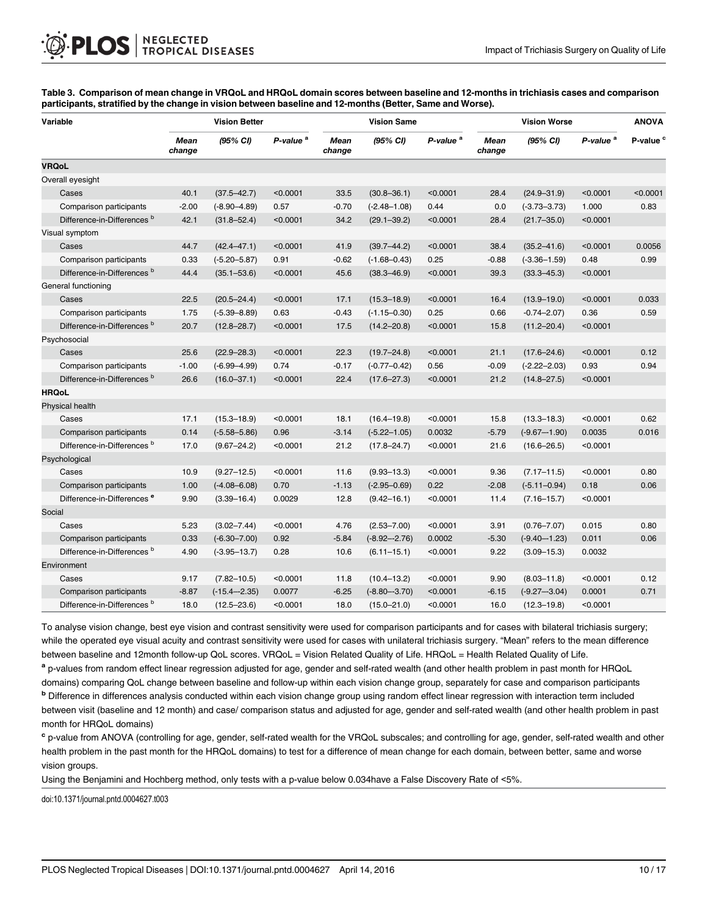<span id="page-9-0"></span>[Table 3.](#page-7-0) Comparison of mean change in VRQoL and HRQoL domain scores between baseline and 12-months in trichiasis cases and comparison participants, stratified by the change in vision between baseline and 12-months (Better, Same and Worse).

| Variable                               |                | <b>Vision Better</b> |                      |                       | <b>Vision Same</b> |                      |                | <b>Vision Worse</b> |                      |                      |  |
|----------------------------------------|----------------|----------------------|----------------------|-----------------------|--------------------|----------------------|----------------|---------------------|----------------------|----------------------|--|
|                                        | Mean<br>change | (95% CI)             | P-value <sup>a</sup> | <b>Mean</b><br>change | (95% CI)           | P-value <sup>a</sup> | Mean<br>change | (95% CI)            | P-value <sup>a</sup> | P-value <sup>c</sup> |  |
| <b>VRQoL</b>                           |                |                      |                      |                       |                    |                      |                |                     |                      |                      |  |
| Overall eyesight                       |                |                      |                      |                       |                    |                      |                |                     |                      |                      |  |
| Cases                                  | 40.1           | $(37.5 - 42.7)$      | < 0.0001             | 33.5                  | $(30.8 - 36.1)$    | < 0.0001             | 28.4           | $(24.9 - 31.9)$     | < 0.0001             | < 0.0001             |  |
| Comparison participants                | $-2.00$        | $(-8.90 - 4.89)$     | 0.57                 | $-0.70$               | $(-2.48 - 1.08)$   | 0.44                 | 0.0            | $(-3.73 - 3.73)$    | 1.000                | 0.83                 |  |
| Difference-in-Differences <sup>b</sup> | 42.1           | $(31.8 - 52.4)$      | < 0.0001             | 34.2                  | $(29.1 - 39.2)$    | < 0.0001             | 28.4           | $(21.7 - 35.0)$     | < 0.0001             |                      |  |
| Visual symptom                         |                |                      |                      |                       |                    |                      |                |                     |                      |                      |  |
| Cases                                  | 44.7           | $(42.4 - 47.1)$      | < 0.0001             | 41.9                  | $(39.7 - 44.2)$    | < 0.0001             | 38.4           | $(35.2 - 41.6)$     | < 0.0001             | 0.0056               |  |
| Comparison participants                | 0.33           | $(-5.20 - 5.87)$     | 0.91                 | $-0.62$               | $(-1.68 - 0.43)$   | 0.25                 | $-0.88$        | $(-3.36 - 1.59)$    | 0.48                 | 0.99                 |  |
| Difference-in-Differences <sup>b</sup> | 44.4           | $(35.1 - 53.6)$      | < 0.0001             | 45.6                  | $(38.3 - 46.9)$    | < 0.0001             | 39.3           | $(33.3 - 45.3)$     | < 0.0001             |                      |  |
| General functioning                    |                |                      |                      |                       |                    |                      |                |                     |                      |                      |  |
| Cases                                  | 22.5           | $(20.5 - 24.4)$      | < 0.0001             | 17.1                  | $(15.3 - 18.9)$    | < 0.0001             | 16.4           | $(13.9 - 19.0)$     | < 0.0001             | 0.033                |  |
| Comparison participants                | 1.75           | $(-5.39 - 8.89)$     | 0.63                 | $-0.43$               | $(-1.15 - 0.30)$   | 0.25                 | 0.66           | $-0.74 - 2.07$      | 0.36                 | 0.59                 |  |
| Difference-in-Differences <sup>b</sup> | 20.7           | $(12.8 - 28.7)$      | < 0.0001             | 17.5                  | $(14.2 - 20.8)$    | < 0.0001             | 15.8           | $(11.2 - 20.4)$     | < 0.0001             |                      |  |
| Psychosocial                           |                |                      |                      |                       |                    |                      |                |                     |                      |                      |  |
| Cases                                  | 25.6           | $(22.9 - 28.3)$      | < 0.0001             | 22.3                  | $(19.7 - 24.8)$    | < 0.0001             | 21.1           | $(17.6 - 24.6)$     | < 0.0001             | 0.12                 |  |
| Comparison participants                | $-1.00$        | $(-6.99 - 4.99)$     | 0.74                 | $-0.17$               | $(-0.77 - 0.42)$   | 0.56                 | $-0.09$        | $(-2.22 - 2.03)$    | 0.93                 | 0.94                 |  |
| Difference-in-Differences <sup>b</sup> | 26.6           | $(16.0 - 37.1)$      | < 0.0001             | 22.4                  | $(17.6 - 27.3)$    | < 0.0001             | 21.2           | $(14.8 - 27.5)$     | < 0.0001             |                      |  |
| <b>HRQoL</b>                           |                |                      |                      |                       |                    |                      |                |                     |                      |                      |  |
| Physical health                        |                |                      |                      |                       |                    |                      |                |                     |                      |                      |  |
| Cases                                  | 17.1           | $(15.3 - 18.9)$      | < 0.0001             | 18.1                  | $(16.4 - 19.8)$    | < 0.0001             | 15.8           | $(13.3 - 18.3)$     | < 0.0001             | 0.62                 |  |
| Comparison participants                | 0.14           | $(-5.58 - 5.86)$     | 0.96                 | $-3.14$               | $(-5.22 - 1.05)$   | 0.0032               | $-5.79$        | $(-9.67 - 1.90)$    | 0.0035               | 0.016                |  |
| Difference-in-Differences <sup>b</sup> | 17.0           | $(9.67 - 24.2)$      | < 0.0001             | 21.2                  | $(17.8 - 24.7)$    | < 0.0001             | 21.6           | $(16.6 - 26.5)$     | < 0.0001             |                      |  |
| Psychological                          |                |                      |                      |                       |                    |                      |                |                     |                      |                      |  |
| Cases                                  | 10.9           | $(9.27 - 12.5)$      | < 0.0001             | 11.6                  | $(9.93 - 13.3)$    | < 0.0001             | 9.36           | $(7.17 - 11.5)$     | < 0.0001             | 0.80                 |  |
| Comparison participants                | 1.00           | $(-4.08 - 6.08)$     | 0.70                 | $-1.13$               | $(-2.95 - 0.69)$   | 0.22                 | $-2.08$        | $(-5.11 - 0.94)$    | 0.18                 | 0.06                 |  |
| Difference-in-Differences <sup>e</sup> | 9.90           | $(3.39 - 16.4)$      | 0.0029               | 12.8                  | $(9.42 - 16.1)$    | < 0.0001             | 11.4           | $(7.16 - 15.7)$     | < 0.0001             |                      |  |
| Social                                 |                |                      |                      |                       |                    |                      |                |                     |                      |                      |  |
| Cases                                  | 5.23           | $(3.02 - 7.44)$      | < 0.0001             | 4.76                  | $(2.53 - 7.00)$    | < 0.0001             | 3.91           | $(0.76 - 7.07)$     | 0.015                | 0.80                 |  |
| Comparison participants                | 0.33           | $(-6.30 - 7.00)$     | 0.92                 | $-5.84$               | $(-8.92 - 2.76)$   | 0.0002               | $-5.30$        | $(-9.40 - 1.23)$    | 0.011                | 0.06                 |  |
| Difference-in-Differences <sup>b</sup> | 4.90           | $(-3.95 - 13.7)$     | 0.28                 | 10.6                  | $(6.11 - 15.1)$    | < 0.0001             | 9.22           | $(3.09 - 15.3)$     | 0.0032               |                      |  |
| Environment                            |                |                      |                      |                       |                    |                      |                |                     |                      |                      |  |
| Cases                                  | 9.17           | $(7.82 - 10.5)$      | < 0.0001             | 11.8                  | $(10.4 - 13.2)$    | < 0.0001             | 9.90           | $(8.03 - 11.8)$     | < 0.0001             | 0.12                 |  |
| Comparison participants                | $-8.87$        | $(-15.4 - 2.35)$     | 0.0077               | $-6.25$               | $(-8.80 - 3.70)$   | < 0.0001             | $-6.15$        | $(-9.27 - 3.04)$    | 0.0001               | 0.71                 |  |
| Difference-in-Differences <sup>b</sup> | 18.0           | $(12.5 - 23.6)$      | < 0.0001             | 18.0                  | $(15.0 - 21.0)$    | < 0.0001             | 16.0           | $(12.3 - 19.8)$     | < 0.0001             |                      |  |

To analyse vision change, best eye vision and contrast sensitivity were used for comparison participants and for cases with bilateral trichiasis surgery; while the operated eye visual acuity and contrast sensitivity were used for cases with unilateral trichiasis surgery. "Mean" refers to the mean difference between baseline and 12month follow-up QoL scores. VRQoL = Vision Related Quality of Life. HRQoL = Health Related Quality of Life.

a p-values from random effect linear regression adjusted for age, gender and self-rated wealth (and other health problem in past month for HRQoL domains) comparing QoL change between baseline and follow-up within each vision change group, separately for case and comparison participants <sup>b</sup> Difference in differences analysis conducted within each vision change group using random effect linear regression with interaction term included between visit (baseline and 12 month) and case/ comparison status and adjusted for age, gender and self-rated wealth (and other health problem in past month for HRQoL domains)

<sup>c</sup> p-value from ANOVA (controlling for age, gender, self-rated wealth for the VRQoL subscales; and controlling for age, gender, self-rated wealth and other health problem in the past month for the HRQoL domains) to test for a difference of mean change for each domain, between better, same and worse vision groups.

Using the Benjamini and Hochberg method, only tests with a p-value below 0.034have a False Discovery Rate of <5%.

doi:10.1371/journal.pntd.0004627.t003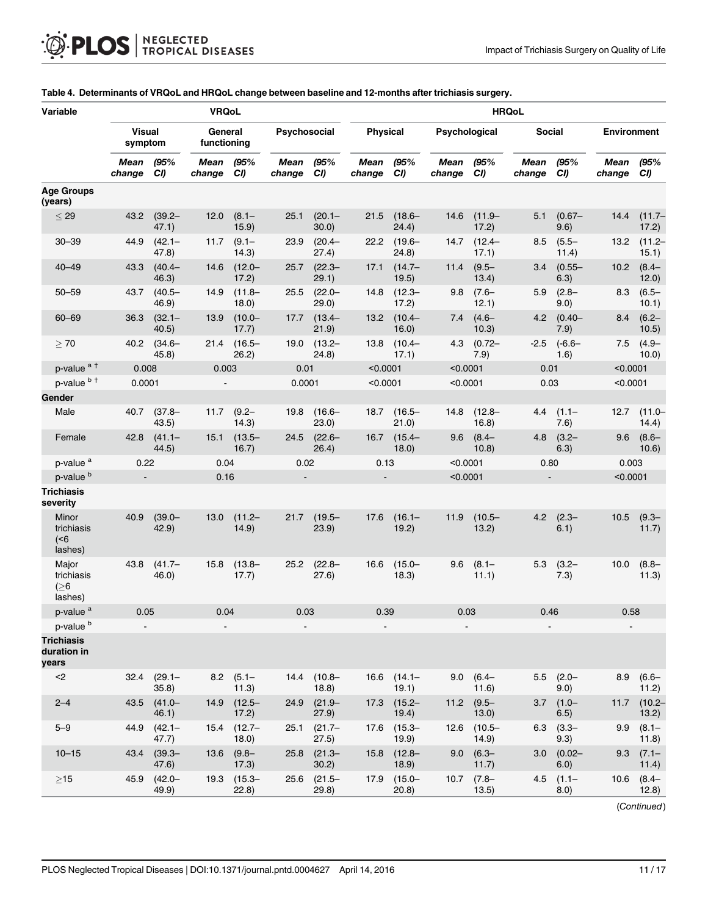| Variable                                       |                          |                           | <b>VRQoL</b>           |                           |                |                      | <b>HRQoL</b>    |                           |                          |                           |                  |                             |                    |                    |
|------------------------------------------------|--------------------------|---------------------------|------------------------|---------------------------|----------------|----------------------|-----------------|---------------------------|--------------------------|---------------------------|------------------|-----------------------------|--------------------|--------------------|
|                                                | <b>Visual</b><br>symptom |                           | General<br>functioning |                           | Psychosocial   |                      | <b>Physical</b> |                           | Psychological            |                           | Social           |                             | <b>Environment</b> |                    |
|                                                | Mean<br>change           | (95%<br>CI)               | Mean<br>change         | (95%<br>CI)               | Mean<br>change | (95%<br>CI)          | Mean<br>change  | (95%<br>CI)               | Mean<br>change           | (95%<br>CI)               | Mean<br>change   | (95%<br>CI)                 | Mean<br>change     | (95%<br>CI)        |
| <b>Age Groups</b><br>(years)                   |                          |                           |                        |                           |                |                      |                 |                           |                          |                           |                  |                             |                    |                    |
| $\leq 29$                                      | 43.2                     | $(39.2 -$<br>47.1)        | 12.0                   | $(8.1 -$<br>15.9)         | 25.1           | $(20.1 -$<br>30.0    | 21.5            | $(18.6 -$<br>24.4)        | 14.6                     | $(11.9 -$<br>17.2)        | 5.1              | $(0.67 -$<br>9.6)           | 14.4               | $(11.7 -$<br>17.2) |
| $30 - 39$                                      | 44.9                     | $(42.1 -$<br>47.8)        | 11.7                   | $(9.1 -$<br>(14.3)        | 23.9           | $(20.4 -$<br>(27.4)  | 22.2            | $(19.6 -$<br>(24.8)       | 14.7                     | $(12.4 -$<br>17.1)        | 8.5              | $(5.5 -$<br>11.4)           | 13.2               | $(11.2 -$<br>15.1) |
| $40 - 49$                                      | 43.3                     | $(40.4 -$<br>46.3)        | 14.6                   | $(12.0 -$<br>17.2)        | 25.7           | $(22.3 -$<br>29.1)   | 17.1            | $(14.7 -$<br>19.5)        | 11.4                     | $(9.5 -$<br>13.4)         |                  | $3.4$ $(0.55 -$<br>6.3)     | 10.2               | $(8.4 -$<br>12.0)  |
| $50 - 59$                                      | 43.7                     | $(40.5 -$<br>46.9)        | 14.9                   | $(11.8 -$<br>18.0)        | 25.5           | $(22.0 -$<br>(29.0)  | 14.8            | $(12.3 -$<br>17.2)        | 9.8                      | $(7.6 -$<br>12.1)         | $5.9^{\circ}$    | $(2.8 -$<br>9.0)            | 8.3                | $(6.5 -$<br>10.1)  |
| $60 - 69$                                      | 36.3                     | $(32.1 -$<br>40.5)        | 13.9                   | $(10.0 -$<br>17.7)        | 17.7           | $(13.4 -$<br>(21.9)  | 13.2            | $(10.4 -$<br>16.0)        |                          | $7.4(4.6-$<br>10.3)       |                  | $4.2 \quad (0.40 -$<br>7.9) | 8.4                | $(6.2 -$<br>10.5)  |
| >70                                            | 40.2                     | $(34.6 -$<br>45.8)        | 21.4                   | $(16.5 -$<br>26.2)        | 19.0           | $(13.2 -$<br>(24.8)  | 13.8            | $(10.4 -$<br>17.1)        | 4.3                      | $(0.72 -$<br>7.9)         | $-2.5$           | $(-6.6 -$<br>1.6)           | 7.5                | $(4.9 -$<br>10.0)  |
| p-value <sup>at</sup>                          | 0.008                    |                           | 0.003                  |                           | 0.01           |                      | < 0.0001        |                           | < 0.0001                 |                           | 0.01             |                             | < 0.0001           |                    |
| p-value b +                                    | 0.0001                   |                           |                        |                           | 0.0001         |                      | < 0.0001        |                           | < 0.0001                 |                           | 0.03             |                             | < 0.0001           |                    |
| Gender                                         |                          |                           |                        |                           |                |                      |                 |                           |                          |                           |                  |                             |                    |                    |
| Male                                           | 40.7                     | $(37.8 -$<br>43.5)        | 11.7                   | $(9.2 -$<br>(14.3)        | 19.8           | $(16.6 -$<br>(23.0)  | 18.7            | $(16.5 -$<br>(21.0)       | 14.8                     | $(12.8 -$<br>16.8)        | 4.4              | $(1.1 -$<br>7.6)            | 12.7               | $(11.0 -$<br>14.4) |
| Female                                         | 42.8                     | $(41.1 -$<br>44.5)        |                        | $15.1$ $(13.5 -$<br>16.7) | 24.5           | $(22.6 -$<br>26.4)   | 16.7            | $(15.4 -$<br>18.0)        | 9.6                      | $(8.4 -$<br>10.8)         | 4.8              | $(3.2 -$<br>6.3)            | 9.6                | $(8.6 -$<br>10.6)  |
| p-value <sup>a</sup>                           |                          | 0.22<br>0.04<br>0.02      |                        |                           | 0.13           |                      | < 0.0001        |                           | 0.80                     |                           | 0.003            |                             |                    |                    |
| p-value <sup>b</sup>                           | 0.16<br>$\blacksquare$   |                           |                        | $\blacksquare$            |                | $\blacksquare$       |                 | < 0.0001                  |                          | $\sim$                    |                  |                             | < 0.0001           |                    |
| <b>Trichiasis</b><br>severity                  |                          |                           |                        |                           |                |                      |                 |                           |                          |                           |                  |                             |                    |                    |
| Minor<br>trichiasis<br>(<br>lashes)            | 40.9                     | $(39.0 -$<br>42.9)        | 13.0                   | $(11.2 -$<br>14.9)        | 21.7           | $(19.5 -$<br>(23.9)  | 17.6            | $(16.1 -$<br>19.2)        | 11.9                     | $(10.5 -$<br>13.2)        | 4.2              | $(2.3 -$<br>6.1)            | 10.5               | $(9.3 -$<br>11.7)  |
| Major<br>trichiasis<br>$($ $\geq 6$<br>lashes) | 43.8                     | $(41.7 -$<br>46.0)        | 15.8                   | $(13.8 -$<br>17.7)        | 25.2           | $(22.8 -$<br>(27.6)  | 16.6            | $(15.0 -$<br>18.3)        | 9.6                      | $(8.1 -$<br>11.1)         | 5.3              | $(3.2 -$<br>7.3)            | 10.0               | $(8.8 -$<br>11.3)  |
| p-value <sup>a</sup>                           | 0.05                     |                           | 0.04                   |                           |                | 0.03                 |                 | 0.39                      | 0.03                     |                           | 0.46             |                             | 0.58               |                    |
| p-value <sup>b</sup>                           |                          |                           |                        |                           |                |                      | $\blacksquare$  |                           | $\overline{\phantom{a}}$ |                           |                  |                             |                    |                    |
| <b>Trichiasis</b><br>duration in<br>years      |                          |                           |                        |                           |                |                      |                 |                           |                          |                           |                  |                             |                    |                    |
| $2$                                            |                          | $32.4$ $(29.1 -$<br>35.8) |                        | $8.2$ (5.1-<br>11.3)      |                | 14.4 (10.8-<br>18.8) |                 | $16.6$ $(14.1 -$<br>19.1) |                          | $9.0$ $(6.4 -$<br>11.6)   |                  | $5.5$ $(2.0 -$<br>9.0)      | 8.9                | $(6.6 -$<br>11.2)  |
| $2 - 4$                                        | 43.5                     | $(41.0 -$<br>46.1)        | 14.9                   | $(12.5 -$<br>17.2)        | 24.9           | $(21.9 -$<br>27.9)   | 17.3            | $(15.2 -$<br>19.4)        | 11.2                     | $(9.5 -$<br>13.0)         | 3.7              | $(1.0 -$<br>6.5)            | 11.7               | $(10.2 -$<br>13.2) |
| $5 - 9$                                        | 44.9                     | $(42.1 -$<br>47.7)        |                        | $15.4$ $(12.7 -$<br>18.0) | 25.1           | $(21.7 -$<br>(27.5)  | 17.6            | $(15.3 -$<br>19.9)        |                          | $12.6$ $(10.5 -$<br>14.9) |                  | $6.3$ $(3.3 -$<br>9.3)      | 9.9                | $(8.1 -$<br>11.8)  |
| $10 - 15$                                      | 43.4                     | $(39.3 -$<br>47.6)        | 13.6                   | $(9.8 -$<br>17.3)         |                | 25.8 (21.3-<br>30.2) | 15.8            | $(12.8 -$<br>18.9)        | 9.0                      | $(6.3 -$<br>11.7)         | 3.0 <sub>1</sub> | $(0.02 -$<br>6.0)           | 9.3                | $(7.1 -$<br>11.4)  |
| $\geq$ 15                                      | 45.9                     | $(42.0 -$<br>49.9)        | 19.3                   | $(15.3 -$<br>(22.8)       | 25.6           | $(21.5 -$<br>(29.8)  | 17.9            | $(15.0 -$<br>(20.8)       | 10.7                     | $(7.8 -$<br>13.5)         | 4.5              | $(1.1 -$<br>(0.8)           | 10.6               | $(8.4 -$<br>12.8)  |

#### <span id="page-10-0"></span>[Table 4.](#page-7-0) Determinants of VRQoL and HRQoL change between baseline and 12-months after trichiasis surgery.

(Continued)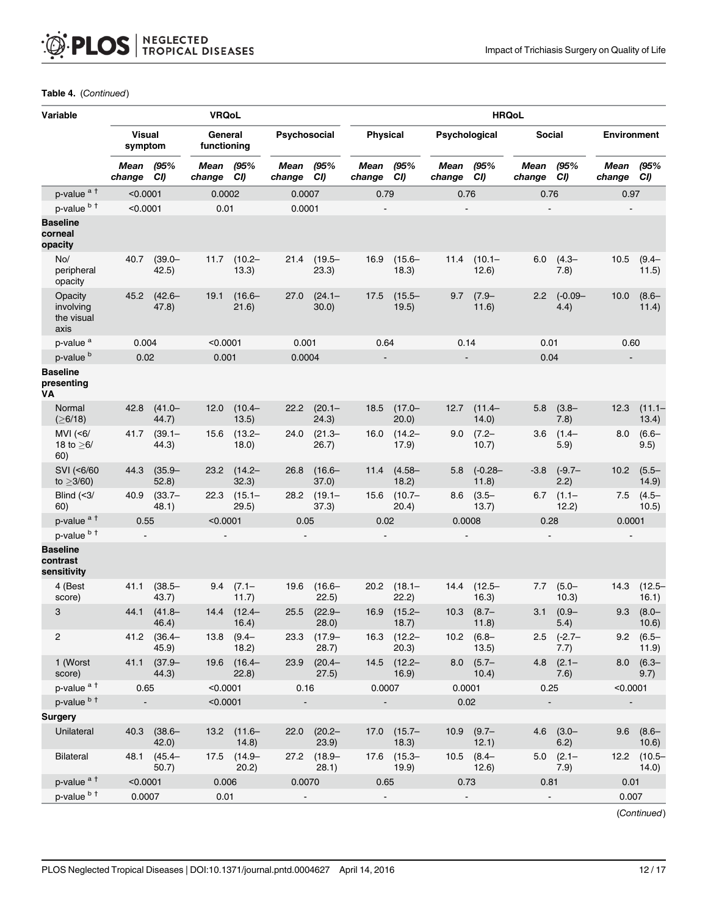| Variable                                   | <b>VRQoL</b>             |                      |                        |                           |                |                      | <b>HRQoL</b>             |                           |                          |                          |                |                         |                    |                         |
|--------------------------------------------|--------------------------|----------------------|------------------------|---------------------------|----------------|----------------------|--------------------------|---------------------------|--------------------------|--------------------------|----------------|-------------------------|--------------------|-------------------------|
|                                            | <b>Visual</b><br>symptom |                      | General<br>functioning |                           | Psychosocial   |                      | <b>Physical</b>          |                           | Psychological            |                          | Social         |                         | <b>Environment</b> |                         |
|                                            | Mean<br>change           | (95%<br>CI)          | Mean<br>change         | (95%<br>CI)               | Mean<br>change | (95%<br>CI)          | Mean<br>change           | (95%<br>CI)               | Mean<br>change           | (95%<br>CI)              | Mean<br>change | (95%<br>CI)             | Mean<br>change     | (95%<br>CI)             |
| p-value <sup>at</sup>                      | < 0.0001                 |                      | 0.0002                 |                           | 0.0007         |                      |                          | 0.79<br>0.76              |                          |                          | 0.76           |                         | 0.97               |                         |
| p-value b t                                | < 0.0001                 |                      | 0.01                   |                           | 0.0001         |                      |                          |                           | $\overline{\phantom{a}}$ |                          |                |                         |                    |                         |
| <b>Baseline</b><br>corneal<br>opacity      |                          |                      |                        |                           |                |                      |                          |                           |                          |                          |                |                         |                    |                         |
| No/<br>peripheral<br>opacity               | 40.7                     | $(39.0 -$<br>42.5)   | 11.7                   | $(10.2 -$<br>13.3)        | 21.4           | $(19.5 -$<br>23.3)   | 16.9                     | $(15.6 -$<br>18.3)        | 11.4                     | $(10.1 -$<br>12.6)       | 6.0            | $(4.3 -$<br>7.8)        | 10.5               | $(9.4 -$<br>11.5)       |
| Opacity<br>involving<br>the visual<br>axis | 45.2                     | $(42.6 -$<br>47.8)   | 19.1                   | $(16.6 -$<br>21.6)        | 27.0           | $(24.1 -$<br>30.0)   | 17.5                     | $(15.5 -$<br>19.5)        | 9.7                      | $(7.9 -$<br>11.6)        | 2.2            | $(-0.09 -$<br>4.4)      | 10.0               | $(8.6 -$<br>11.4)       |
| p-value <sup>a</sup>                       | 0.004                    |                      | < 0.0001               |                           | 0.001          |                      | 0.64                     |                           | 0.14                     |                          | 0.01           |                         | 0.60               |                         |
| p-value <sup>b</sup>                       | 0.02                     |                      | 0.001                  |                           | 0.0004         |                      | $\overline{\phantom{a}}$ |                           | $\blacksquare$           |                          | 0.04           |                         | $\blacksquare$     |                         |
| <b>Baseline</b><br>presenting<br>VА        |                          |                      |                        |                           |                |                      |                          |                           |                          |                          |                |                         |                    |                         |
| Normal<br>(≥6/18)                          | 42.8                     | $(41.0 -$<br>44.7)   | 12.0                   | $(10.4 -$<br>13.5)        | 22.2           | $(20.1 -$<br>(24.3)  | 18.5                     | $(17.0 -$<br>20.0)        | 12.7                     | $(11.4 -$<br>14.0        | 5.8            | $(3.8 -$<br>7.8)        | 12.3               | $(11.1 -$<br>13.4)      |
| MVI $(56)$<br>18 to $\geq 6/$<br>60)       | 41.7                     | $(39.1 -$<br>44.3)   | 15.6                   | $(13.2 -$<br>18.0)        | 24.0           | $(21.3 -$<br>26.7)   | 16.0                     | $(14.2 -$<br>17.9)        | 9.0                      | $(7.2 -$<br>10.7)        | 3.6            | $(1.4 -$<br>5.9)        | 8.0                | $(6.6 -$<br>9.5)        |
| SVI (<6/60<br>to $\geq$ 3/60)              | 44.3                     | $(35.9 -$<br>52.8)   | 23.2                   | $(14.2 -$<br>32.3)        | 26.8           | $(16.6 -$<br>(37.0)  | 11.4                     | $(4.58 -$<br>18.2)        | 5.8                      | $(-0.28 -$<br>11.8)      | $-3.8$         | $(-9.7 -$<br>2.2)       | 10.2               | $(5.5 -$<br>14.9)       |
| Blind $(3/$<br>60)                         | 40.9                     | $(33.7 -$<br>48.1)   | 22.3                   | $(15.1 -$<br>(29.5)       | 28.2           | $(19.1 -$<br>(37.3)  | 15.6                     | $(10.7 -$<br>20.4)        | 8.6                      | $(3.5 -$<br>13.7)        | 6.7            | $(1.1 -$<br>12.2)       | 7.5                | $(4.5 -$<br>10.5)       |
| p-value <sup>at</sup>                      | 0.55                     |                      | < 0.0001               |                           | 0.05           |                      | 0.02                     |                           | 0.0008                   |                          | 0.28           |                         | 0.0001             |                         |
| p-value b t                                |                          |                      |                        |                           |                |                      |                          |                           |                          |                          |                |                         |                    |                         |
| <b>Baseline</b><br>contrast<br>sensitivity |                          |                      |                        |                           |                |                      |                          |                           |                          |                          |                |                         |                    |                         |
| 4 (Best<br>score)                          | 41.1                     | $(38.5 -$<br>43.7)   | 9.4                    | $(7.1 -$<br>11.7)         | 19.6           | $(16.6 -$<br>22.5)   | 20.2                     | $(18.1 -$<br>22.2)        | 14.4                     | $(12.5 -$<br>16.3)       | 7.7            | $(5.0 -$<br>10.3)       | 14.3               | $(12.5 -$<br>16.1)      |
| 3                                          | 44.1                     | $(41.8 -$<br>46.4)   | 14.4                   | $(12.4 -$<br>16.4)        | 25.5           | $(22.9 -$<br>28.0)   | 16.9                     | $(15.2 -$<br>18.7)        | 10.3                     | $(8.7 -$<br>11.8)        | 3.1            | $(0.9 -$<br>5.4)        | 9.3                | $(8.0 -$<br>10.6)       |
| 2                                          |                          | 41.2 (36.4-<br>45.9) |                        | $13.8$ (9.4-<br>18.2)     |                | 23.3 (17.9-<br>28.7) |                          | $16.3$ $(12.2 -$<br>20.3) |                          | $10.2$ $(6.8 -$<br>13.5) |                | $2.5$ $(-2.7 -$<br>7.7) |                    | $9.2$ $(6.5 -$<br>11.9) |
| 1 (Worst<br>score)                         | 41.1                     | $(37.9 -$<br>44.3)   |                        | 19.6 (16.4-<br>(22.8)     | 23.9           | $(20.4 -$<br>27.5)   |                          | $14.5$ $(12.2 -$<br>16.9) |                          | $8.0$ $(5.7 -$<br>10.4)  | 4.8            | $(2.1 -$<br>7.6)        | 8.0                | $(6.3 -$<br>9.7)        |
| p-value <sup>at</sup>                      | 0.65                     |                      | < 0.0001               |                           | 0.16           |                      | 0.0007                   |                           | 0.0001                   |                          | 0.25           |                         | < 0.0001           |                         |
| p-value b +                                |                          |                      | < 0.0001               |                           |                |                      |                          |                           | 0.02                     |                          |                |                         |                    |                         |
| Surgery                                    |                          |                      |                        |                           |                |                      |                          |                           |                          |                          |                |                         |                    |                         |
| Unilateral                                 |                          | 40.3 (38.6-<br>42.0) |                        | $13.2$ $(11.6 -$<br>14.8) | 22.0           | $(20.2 -$<br>23.9)   |                          | $17.0$ $(15.7 -$<br>18.3) |                          | $10.9$ $(9.7 -$<br>12.1) |                | $4.6$ $(3.0 -$<br>6.2)  | 9.6                | $(8.6 -$<br>10.6)       |
| Bilateral                                  |                          | 48.1 (45.4-<br>50.7) |                        | 17.5 (14.9-<br>20.2)      |                | 27.2 (18.9-<br>28.1) |                          | $17.6$ $(15.3 -$<br>19.9) |                          | $10.5$ $(8.4 -$<br>12.6) |                | $5.0$ $(2.1 -$<br>7.9)  |                    | 12.2 (10.5-<br>14.0)    |
| p-value <sup>at</sup>                      | < 0.0001                 |                      | 0.006                  |                           | 0.0070         |                      | 0.65                     |                           | 0.73                     |                          | 0.81           |                         | 0.01               |                         |
| p-value b t                                |                          | 0.0007<br>0.01       |                        |                           |                |                      |                          |                           |                          | 0.007                    |                |                         |                    |                         |

#### Table 4. (Continued)

(Continued)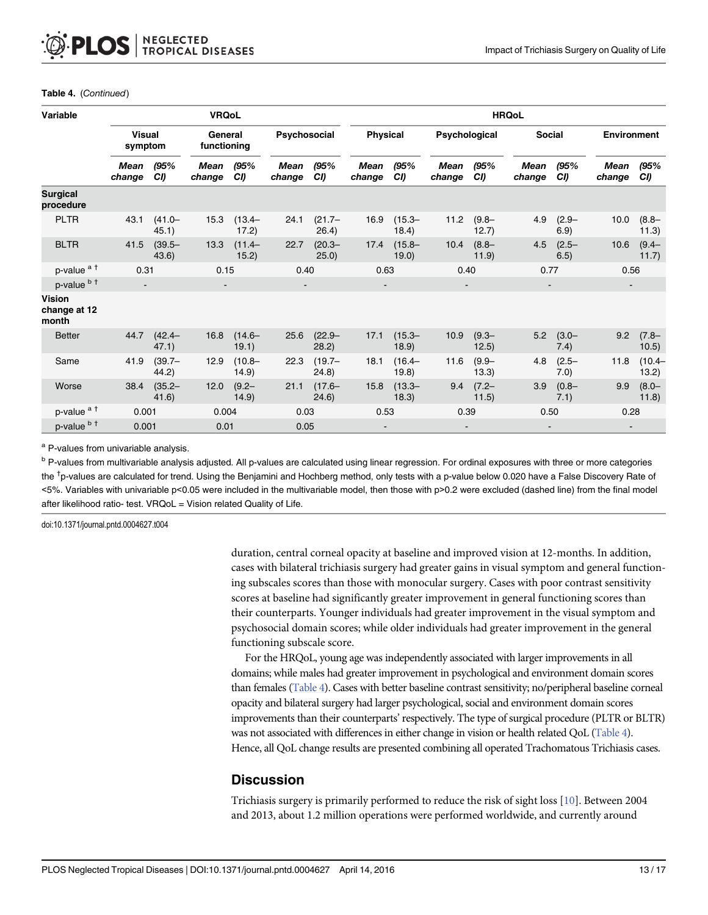| Variable                               |                          |                    | <b>VRQoL</b>           |                    |                       |                     | <b>HRQoL</b>          |                    |                       |                   |                       |                              |                          |                    |  |
|----------------------------------------|--------------------------|--------------------|------------------------|--------------------|-----------------------|---------------------|-----------------------|--------------------|-----------------------|-------------------|-----------------------|------------------------------|--------------------------|--------------------|--|
|                                        | <b>Visual</b><br>symptom |                    | General<br>functioning |                    | Psychosocial          |                     | Physical              |                    | Psychological         |                   |                       | Social<br><b>Environment</b> |                          |                    |  |
|                                        | Mean<br>change           | /95%<br>CI)        | <b>Mean</b><br>change  | /95%<br>CI)        | <b>Mean</b><br>change | (95%<br>CI)         | <b>Mean</b><br>change | (95%<br>CI)        | <b>Mean</b><br>change | (95%<br>CI        | <b>Mean</b><br>change | (95%<br>CI)                  | <b>Mean</b><br>change    | (95%<br>CI)        |  |
| <b>Surgical</b><br>procedure           |                          |                    |                        |                    |                       |                     |                       |                    |                       |                   |                       |                              |                          |                    |  |
| <b>PLTR</b>                            | 43.1                     | $(41.0 -$<br>45.1) | 15.3                   | $(13.4 -$<br>17.2) | 24.1                  | $(21.7 -$<br>26.4)  | 16.9                  | $(15.3 -$<br>18.4) | 11.2                  | $(9.8 -$<br>12.7) | 4.9                   | $(2.9 -$<br>6.9)             | 10.0                     | $(8.8 -$<br>11.3)  |  |
| <b>BLTR</b>                            | 41.5                     | $(39.5 -$<br>43.6) | 13.3                   | $(11.4 -$<br>15.2) | 22.7                  | $(20.3 -$<br>25.0)  | 17.4                  | $(15.8 -$<br>19.0  | 10.4                  | $(8.8 -$<br>11.9  | 4.5                   | $(2.5 -$<br>6.5)             | 10.6                     | $(9.4 -$<br>11.7)  |  |
| p-value <sup>at</sup>                  | 0.31                     |                    | 0.15                   |                    | 0.40                  |                     | 0.63                  |                    | 0.40                  |                   | 0.77                  |                              | 0.56                     |                    |  |
| p-value b t                            | $\sim$                   |                    | $\blacksquare$         |                    |                       |                     | $\blacksquare$        |                    |                       |                   |                       |                              | $\blacksquare$           |                    |  |
| <b>Vision</b><br>change at 12<br>month |                          |                    |                        |                    |                       |                     |                       |                    |                       |                   |                       |                              |                          |                    |  |
| <b>Better</b>                          | 44.7                     | $(42.4 -$<br>47.1) | 16.8                   | $(14.6 -$<br>19.1) | 25.6                  | $(22.9 -$<br>28.2)  | 17.1                  | $(15.3 -$<br>18.9  | 10.9                  | $(9.3 -$<br>12.5) | 5.2                   | $(3.0 -$<br>7.4)             | 9.2                      | $(7.8 -$<br>10.5)  |  |
| Same                                   | 41.9                     | $(39.7 -$<br>44.2) | 12.9                   | $(10.8 -$<br>14.9) | 22.3                  | $(19.7 -$<br>(24.8) | 18.1                  | $(16.4 -$<br>19.8  | 11.6                  | $(9.9 -$<br>13.3) | 4.8                   | $(2.5 -$<br>7.0)             | 11.8                     | $(10.4 -$<br>13.2) |  |
| Worse                                  | 38.4                     | $(35.2 -$<br>41.6) | 12.0                   | $(9.2 -$<br>14.9)  | 21.1                  | $(17.6 -$<br>24.6)  | 15.8                  | $(13.3 -$<br>18.3) | 9.4                   | $(7.2 -$<br>11.5) | 3.9                   | $(0.8 -$<br>7.1)             | 9.9                      | $(8.0 -$<br>11.8)  |  |
| p-value <sup>at</sup>                  | 0.001                    |                    | 0.004                  |                    | 0.03                  |                     | 0.53                  |                    |                       | 0.39              |                       | 0.50                         |                          | 0.28               |  |
| p-value b t                            | 0.001                    |                    | 0.01                   |                    | 0.05                  |                     |                       |                    |                       |                   |                       |                              | $\overline{\phantom{a}}$ |                    |  |

#### Table 4. (Continued)

a P-values from univariable analysis.

<sup>b</sup> P-values from multivariable analysis adjusted. All p-values are calculated using linear regression. For ordinal exposures with three or more categories the <sup>†</sup>p-values are calculated for trend. Using the Benjamini and Hochberg method, only tests with a p-value below 0.020 have a False Discovery Rate of <5%. Variables with univariable p<0.05 were included in the multivariable model, then those with p>0.2 were excluded (dashed line) from the final model after likelihood ratio- test. VRQoL = Vision related Quality of Life.

doi:10.1371/journal.pntd.0004627.t004

duration, central corneal opacity at baseline and improved vision at 12-months. In addition, cases with bilateral trichiasis surgery had greater gains in visual symptom and general functioning subscales scores than those with monocular surgery. Cases with poor contrast sensitivity scores at baseline had significantly greater improvement in general functioning scores than their counterparts. Younger individuals had greater improvement in the visual symptom and psychosocial domain scores; while older individuals had greater improvement in the general functioning subscale score.

For the HRQoL, young age was independently associated with larger improvements in all domains; while males had greater improvement in psychological and environment domain scores than females [\(Table 4\)](#page-10-0). Cases with better baseline contrast sensitivity; no/peripheral baseline corneal opacity and bilateral surgery had larger psychological, social and environment domain scores improvements than their counterparts' respectively. The type of surgical procedure (PLTR or BLTR) was not associated with differences in either change in vision or health related QoL ([Table 4](#page-10-0)). Hence, all QoL change results are presented combining all operated Trachomatous Trichiasis cases.

# **Discussion**

Trichiasis surgery is primarily performed to reduce the risk of sight loss [[10](#page-15-0)]. Between 2004 and 2013, about 1.2 million operations were performed worldwide, and currently around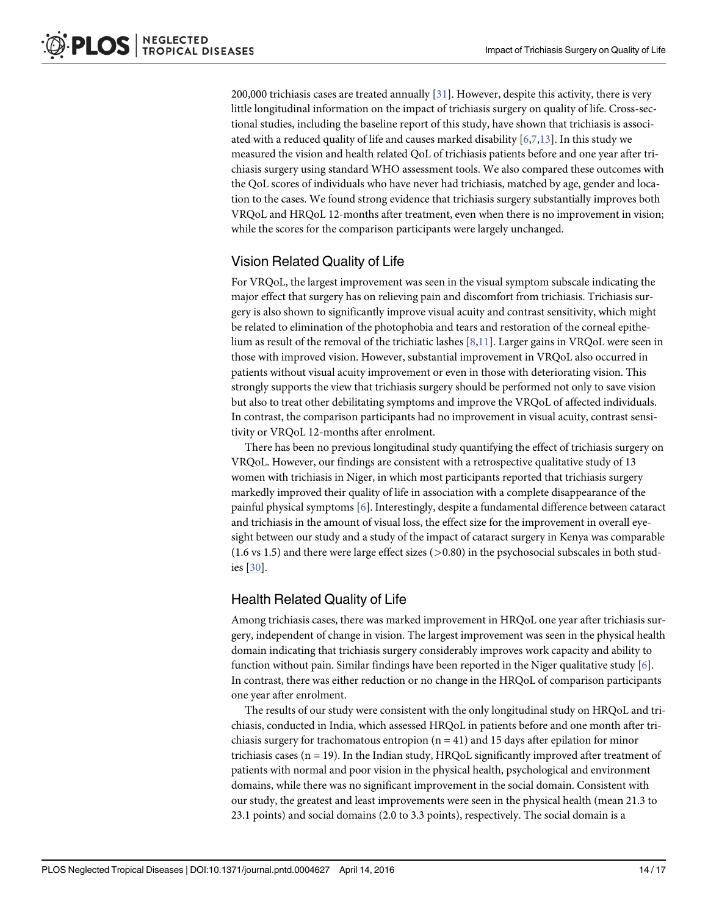<span id="page-13-0"></span>200,000 trichiasis cases are treated annually [[31](#page-16-0)]. However, despite this activity, there is very little longitudinal information on the impact of trichiasis surgery on quality of life. Cross-sectional studies, including the baseline report of this study, have shown that trichiasis is associated with a reduced quality of life and causes marked disability  $[6,7,13]$  $[6,7,13]$  $[6,7,13]$  $[6,7,13]$ . In this study we measured the vision and health related QoL of trichiasis patients before and one year after trichiasis surgery using standard WHO assessment tools. We also compared these outcomes with the QoL scores of individuals who have never had trichiasis, matched by age, gender and location to the cases. We found strong evidence that trichiasis surgery substantially improves both VRQoL and HRQoL 12-months after treatment, even when there is no improvement in vision; while the scores for the comparison participants were largely unchanged.

# Vision Related Quality of Life

For VRQoL, the largest improvement was seen in the visual symptom subscale indicating the major effect that surgery has on relieving pain and discomfort from trichiasis. Trichiasis surgery is also shown to significantly improve visual acuity and contrast sensitivity, which might be related to elimination of the photophobia and tears and restoration of the corneal epithelium as result of the removal of the trichiatic lashes  $[8,11]$  $[8,11]$  $[8,11]$  $[8,11]$  $[8,11]$ . Larger gains in VRQoL were seen in those with improved vision. However, substantial improvement in VRQoL also occurred in patients without visual acuity improvement or even in those with deteriorating vision. This strongly supports the view that trichiasis surgery should be performed not only to save vision but also to treat other debilitating symptoms and improve the VRQoL of affected individuals. In contrast, the comparison participants had no improvement in visual acuity, contrast sensitivity or VRQoL 12-months after enrolment.

There has been no previous longitudinal study quantifying the effect of trichiasis surgery on VRQoL. However, our findings are consistent with a retrospective qualitative study of 13 women with trichiasis in Niger, in which most participants reported that trichiasis surgery markedly improved their quality of life in association with a complete disappearance of the painful physical symptoms [[6\]](#page-15-0). Interestingly, despite a fundamental difference between cataract and trichiasis in the amount of visual loss, the effect size for the improvement in overall eyesight between our study and a study of the impact of cataract surgery in Kenya was comparable  $(1.6 \text{ vs } 1.5)$  and there were large effect sizes  $(>0.80)$  in the psychosocial subscales in both studies [\[30\]](#page-16-0).

# Health Related Quality of Life

Among trichiasis cases, there was marked improvement in HRQoL one year after trichiasis surgery, independent of change in vision. The largest improvement was seen in the physical health domain indicating that trichiasis surgery considerably improves work capacity and ability to function without pain. Similar findings have been reported in the Niger qualitative study  $[6]$ . In contrast, there was either reduction or no change in the HRQoL of comparison participants one year after enrolment.

The results of our study were consistent with the only longitudinal study on HRQoL and trichiasis, conducted in India, which assessed HRQoL in patients before and one month after trichiasis surgery for trachomatous entropion  $(n = 41)$  and 15 days after epilation for minor trichiasis cases ( $n = 19$ ). In the Indian study, HRQoL significantly improved after treatment of patients with normal and poor vision in the physical health, psychological and environment domains, while there was no significant improvement in the social domain. Consistent with our study, the greatest and least improvements were seen in the physical health (mean 21.3 to 23.1 points) and social domains (2.0 to 3.3 points), respectively. The social domain is a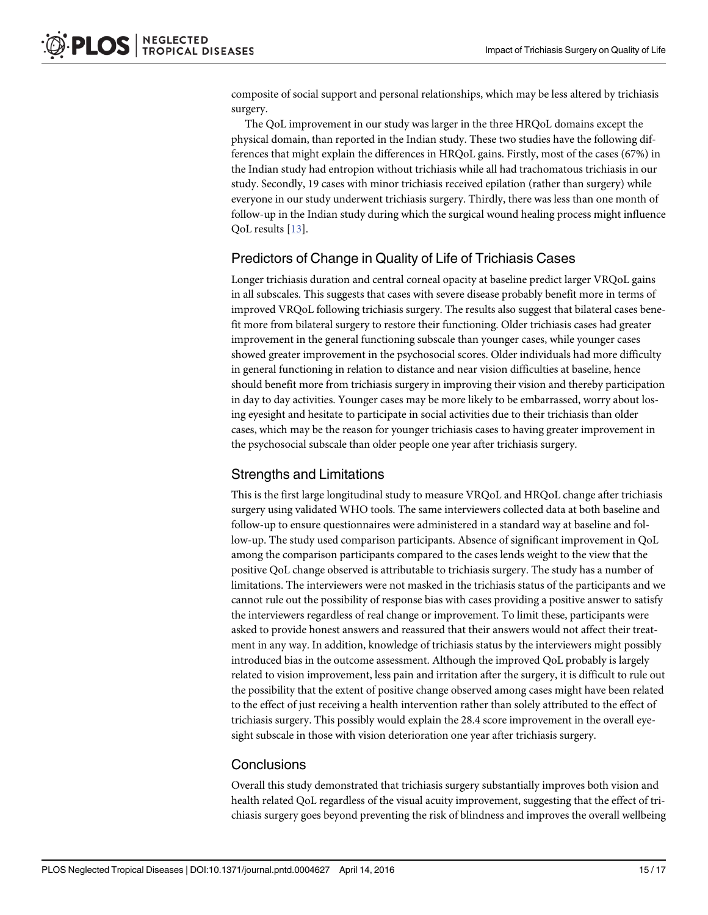composite of social support and personal relationships, which may be less altered by trichiasis surgery.

The QoL improvement in our study was larger in the three HRQoL domains except the physical domain, than reported in the Indian study. These two studies have the following differences that might explain the differences in HRQoL gains. Firstly, most of the cases (67%) in the Indian study had entropion without trichiasis while all had trachomatous trichiasis in our study. Secondly, 19 cases with minor trichiasis received epilation (rather than surgery) while everyone in our study underwent trichiasis surgery. Thirdly, there was less than one month of follow-up in the Indian study during which the surgical wound healing process might influence QoL results [\[13](#page-16-0)].

#### Predictors of Change in Quality of Life of Trichiasis Cases

Longer trichiasis duration and central corneal opacity at baseline predict larger VRQoL gains in all subscales. This suggests that cases with severe disease probably benefit more in terms of improved VRQoL following trichiasis surgery. The results also suggest that bilateral cases benefit more from bilateral surgery to restore their functioning. Older trichiasis cases had greater improvement in the general functioning subscale than younger cases, while younger cases showed greater improvement in the psychosocial scores. Older individuals had more difficulty in general functioning in relation to distance and near vision difficulties at baseline, hence should benefit more from trichiasis surgery in improving their vision and thereby participation in day to day activities. Younger cases may be more likely to be embarrassed, worry about losing eyesight and hesitate to participate in social activities due to their trichiasis than older cases, which may be the reason for younger trichiasis cases to having greater improvement in the psychosocial subscale than older people one year after trichiasis surgery.

#### Strengths and Limitations

This is the first large longitudinal study to measure VRQoL and HRQoL change after trichiasis surgery using validated WHO tools. The same interviewers collected data at both baseline and follow-up to ensure questionnaires were administered in a standard way at baseline and follow-up. The study used comparison participants. Absence of significant improvement in QoL among the comparison participants compared to the cases lends weight to the view that the positive QoL change observed is attributable to trichiasis surgery. The study has a number of limitations. The interviewers were not masked in the trichiasis status of the participants and we cannot rule out the possibility of response bias with cases providing a positive answer to satisfy the interviewers regardless of real change or improvement. To limit these, participants were asked to provide honest answers and reassured that their answers would not affect their treatment in any way. In addition, knowledge of trichiasis status by the interviewers might possibly introduced bias in the outcome assessment. Although the improved QoL probably is largely related to vision improvement, less pain and irritation after the surgery, it is difficult to rule out the possibility that the extent of positive change observed among cases might have been related to the effect of just receiving a health intervention rather than solely attributed to the effect of trichiasis surgery. This possibly would explain the 28.4 score improvement in the overall eyesight subscale in those with vision deterioration one year after trichiasis surgery.

#### **Conclusions**

Overall this study demonstrated that trichiasis surgery substantially improves both vision and health related QoL regardless of the visual acuity improvement, suggesting that the effect of trichiasis surgery goes beyond preventing the risk of blindness and improves the overall wellbeing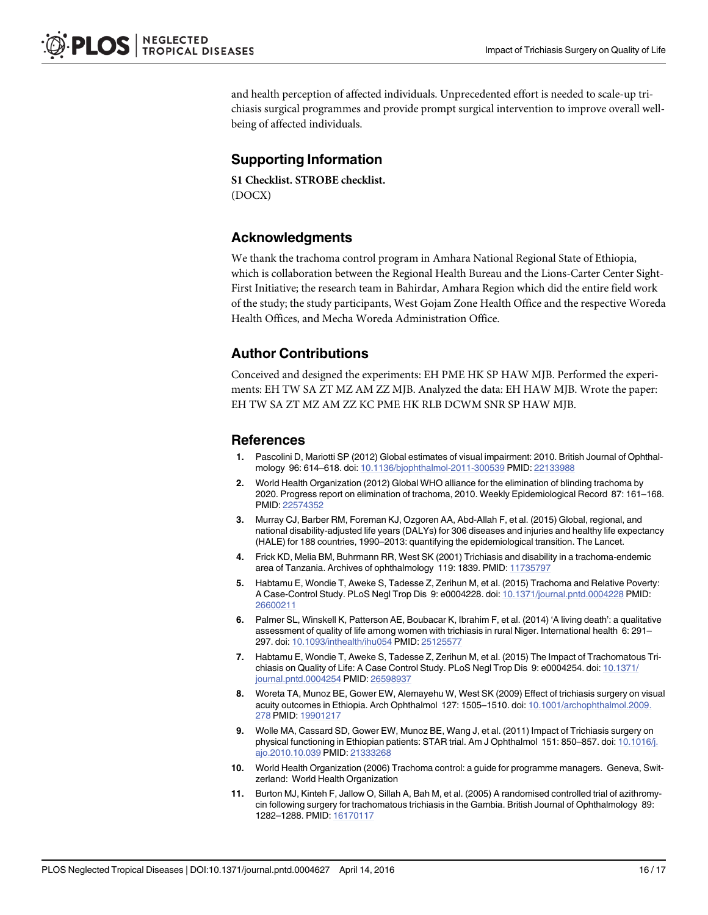<span id="page-15-0"></span>and health perception of affected individuals. Unprecedented effort is needed to scale-up trichiasis surgical programmes and provide prompt surgical intervention to improve overall wellbeing of affected individuals.

# Supporting Information

[S1 Checklist.](http://www.plosone.org/article/fetchSingleRepresentation.action?uri=info:doi/10.1371/journal.pntd.0004627.s001) STROBE checklist. (DOCX)

# Acknowledgments

We thank the trachoma control program in Amhara National Regional State of Ethiopia, which is collaboration between the Regional Health Bureau and the Lions-Carter Center Sight-First Initiative; the research team in Bahirdar, Amhara Region which did the entire field work of the study; the study participants, West Gojam Zone Health Office and the respective Woreda Health Offices, and Mecha Woreda Administration Office.

# Author Contributions

Conceived and designed the experiments: EH PME HK SP HAW MJB. Performed the experiments: EH TW SA ZT MZ AM ZZ MJB. Analyzed the data: EH HAW MJB. Wrote the paper: EH TW SA ZT MZ AM ZZ KC PME HK RLB DCWM SNR SP HAW MJB.

#### References

- [1.](#page-1-0) Pascolini D, Mariotti SP (2012) Global estimates of visual impairment: 2010. British Journal of Ophthalmology 96: 614–618. doi: [10.1136/bjophthalmol-2011-300539](http://dx.doi.org/10.1136/bjophthalmol-2011-300539) PMID: [22133988](http://www.ncbi.nlm.nih.gov/pubmed/22133988)
- [2.](#page-1-0) World Health Organization (2012) Global WHO alliance for the elimination of blinding trachoma by 2020. Progress report on elimination of trachoma, 2010. Weekly Epidemiological Record 87: 161–168. PMID: [22574352](http://www.ncbi.nlm.nih.gov/pubmed/22574352)
- [3.](#page-1-0) Murray CJ, Barber RM, Foreman KJ, Ozgoren AA, Abd-Allah F, et al. (2015) Global, regional, and national disability-adjusted life years (DALYs) for 306 diseases and injuries and healthy life expectancy (HALE) for 188 countries, 1990–2013: quantifying the epidemiological transition. The Lancet.
- [4.](#page-1-0) Frick KD, Melia BM, Buhrmann RR, West SK (2001) Trichiasis and disability in a trachoma-endemic area of Tanzania. Archives of ophthalmology 119: 1839. PMID: [11735797](http://www.ncbi.nlm.nih.gov/pubmed/11735797)
- [5.](#page-3-0) Habtamu E, Wondie T, Aweke S, Tadesse Z, Zerihun M, et al. (2015) Trachoma and Relative Poverty: A Case-Control Study. PLoS Negl Trop Dis 9: e0004228. doi: [10.1371/journal.pntd.0004228](http://dx.doi.org/10.1371/journal.pntd.0004228) PMID: [26600211](http://www.ncbi.nlm.nih.gov/pubmed/26600211)
- [6.](#page-1-0) Palmer SL, Winskell K, Patterson AE, Boubacar K, Ibrahim F, et al. (2014) 'A living death': a qualitative assessment of quality of life among women with trichiasis in rural Niger. International health 6: 291– 297. doi: [10.1093/inthealth/ihu054](http://dx.doi.org/10.1093/inthealth/ihu054) PMID: [25125577](http://www.ncbi.nlm.nih.gov/pubmed/25125577)
- [7.](#page-1-0) Habtamu E, Wondie T, Aweke S, Tadesse Z, Zerihun M, et al. (2015) The Impact of Trachomatous Trichiasis on Quality of Life: A Case Control Study. PLoS Negl Trop Dis 9: e0004254. doi: [10.1371/](http://dx.doi.org/10.1371/journal.pntd.0004254) [journal.pntd.0004254](http://dx.doi.org/10.1371/journal.pntd.0004254) PMID: [26598937](http://www.ncbi.nlm.nih.gov/pubmed/26598937)
- [8.](#page-1-0) Woreta TA, Munoz BE, Gower EW, Alemayehu W, West SK (2009) Effect of trichiasis surgery on visual acuity outcomes in Ethiopia. Arch Ophthalmol 127: 1505–1510. doi: [10.1001/archophthalmol.2009.](http://dx.doi.org/10.1001/archophthalmol.2009.278) [278](http://dx.doi.org/10.1001/archophthalmol.2009.278) PMID: [19901217](http://www.ncbi.nlm.nih.gov/pubmed/19901217)
- [9.](#page-1-0) Wolle MA, Cassard SD, Gower EW, Munoz BE, Wang J, et al. (2011) Impact of Trichiasis surgery on physical functioning in Ethiopian patients: STAR trial. Am J Ophthalmol 151: 850-857. doi: [10.1016/j.](http://dx.doi.org/10.1016/j.ajo.2010.10.039) [ajo.2010.10.039](http://dx.doi.org/10.1016/j.ajo.2010.10.039) PMID: [21333268](http://www.ncbi.nlm.nih.gov/pubmed/21333268)
- [10.](#page-1-0) World Health Organization (2006) Trachoma control: a guide for programme managers. Geneva, Switzerland: World Health Organization
- [11.](#page-1-0) Burton MJ, Kinteh F, Jallow O, Sillah A, Bah M, et al. (2005) A randomised controlled trial of azithromycin following surgery for trachomatous trichiasis in the Gambia. British Journal of Ophthalmology 89: 1282–1288. PMID: [16170117](http://www.ncbi.nlm.nih.gov/pubmed/16170117)